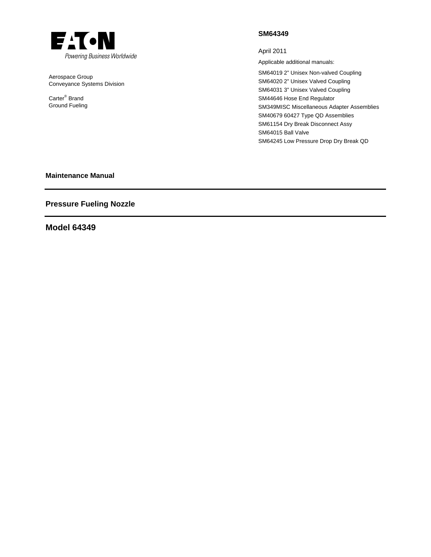

Aerospace Group Conveyance Systems Division

Carter® Brand Ground Fueling

## **SM64349**

April 2011

Applicable additional manuals:

SM64019 2" Unisex Non-valved Coupling SM64020 2" Unisex Valved Coupling SM64031 3" Unisex Valved Coupling SM44646 Hose End Regulator SM349MISC Miscellaneous Adapter Assemblies SM40679 60427 Type QD Assemblies SM61154 Dry Break Disconnect Assy SM64015 Ball Valve SM64245 Low Pressure Drop Dry Break QD

## **Maintenance Manual**

# **Pressure Fueling Nozzle**

## **Model 64349**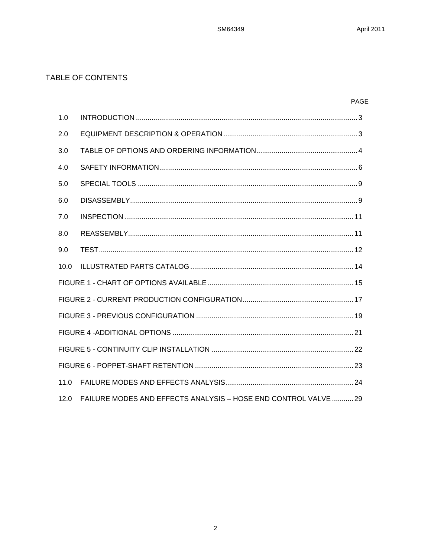# TABLE OF CONTENTS

# PAGE

| 1.0  |                                                                 |
|------|-----------------------------------------------------------------|
| 2.0  |                                                                 |
| 3.0  |                                                                 |
| 4.0  |                                                                 |
| 5.0  |                                                                 |
| 6.0  |                                                                 |
| 7.0  |                                                                 |
| 8.0  |                                                                 |
| 9.0  |                                                                 |
| 10.0 |                                                                 |
|      |                                                                 |
|      |                                                                 |
|      |                                                                 |
|      |                                                                 |
|      |                                                                 |
|      |                                                                 |
| 11.0 |                                                                 |
| 12.0 | FAILURE MODES AND EFFECTS ANALYSIS - HOSE END CONTROL VALVE  29 |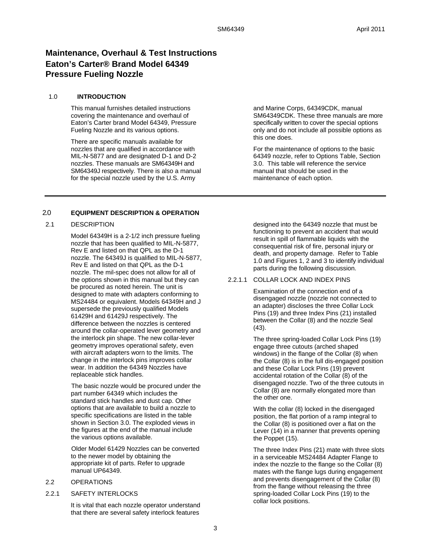# **Maintenance, Overhaul & Test Instructions Eaton's Carter® Brand Model 64349 Pressure Fueling Nozzle**

#### 1.0 **INTRODUCTION**

This manual furnishes detailed instructions covering the maintenance and overhaul of Eaton's Carter brand Model 64349, Pressure Fueling Nozzle and its various options.

There are specific manuals available for nozzles that are qualified in accordance with MIL-N-5877 and are designated D-1 and D-2 nozzles. These manuals are SM64349H and SM64349J respectively. There is also a manual for the special nozzle used by the U.S. Army

## 2.0 **EQUIPMENT DESCRIPTION & OPERATION**

#### 2.1 DESCRIPTION

Model 64349H is a 2-1/2 inch pressure fueling nozzle that has been qualified to MIL-N-5877, Rev E and listed on that QPL as the D-1 nozzle. The 64349J is qualified to MIL-N-5877, Rev E and listed on that QPL as the D-1 nozzle. The mil-spec does not allow for all of the options shown in this manual but they can be procured as noted herein. The unit is designed to mate with adapters conforming to MS24484 or equivalent. Models 64349H and J supersede the previously qualified Models 61429H and 61429J respectively. The difference between the nozzles is centered around the collar-operated lever geometry and the interlock pin shape. The new collar-lever geometry improves operational safety, even with aircraft adapters worn to the limits. The change in the interlock pins improves collar wear. In addition the 64349 Nozzles have replaceable stick handles.

The basic nozzle would be procured under the part number 64349 which includes the standard stick handles and dust cap. Other options that are available to build a nozzle to specific specifications are listed in the table shown in Section 3.0. The exploded views in the figures at the end of the manual include the various options available.

Older Model 61429 Nozzles can be converted to the newer model by obtaining the appropriate kit of parts. Refer to upgrade manual UP64349.

#### 2.2 OPERATIONS

#### 2.2.1 SAFETY INTERLOCKS

It is vital that each nozzle operator understand that there are several safety interlock features

and Marine Corps, 64349CDK, manual SM64349CDK. These three manuals are more specifically written to cover the special options only and do not include all possible options as this one does.

For the maintenance of options to the basic 64349 nozzle, refer to Options Table, Section 3.0. This table will reference the service manual that should be used in the maintenance of each option.

designed into the 64349 nozzle that must be functioning to prevent an accident that would result in spill of flammable liquids with the consequential risk of fire, personal injury or death, and property damage. Refer to Table 1.0 and Figures 1, 2 and 3 to identify individual parts during the following discussion.

#### 2.2.1.1 COLLAR LOCK AND INDEX PINS

Examination of the connection end of a disengaged nozzle (nozzle not connected to an adapter) discloses the three Collar Lock Pins (19) and three Index Pins (21) installed between the Collar (8) and the nozzle Seal (43).

The three spring-loaded Collar Lock Pins (19) engage three cutouts (arched shaped windows) in the flange of the Collar (8) when the Collar (8) is in the full dis-engaged position and these Collar Lock Pins (19) prevent accidental rotation of the Collar (8) of the disengaged nozzle. Two of the three cutouts in Collar (8) are normally elongated more than the other one.

With the collar (8) locked in the disengaged position, the flat portion of a ramp integral to the Collar (8) is positioned over a flat on the Lever (14) in a manner that prevents opening the Poppet (15).

The three Index Pins (21) mate with three slots in a serviceable MS24484 Adapter Flange to index the nozzle to the flange so the Collar (8) mates with the flange lugs during engagement and prevents disengagement of the Collar (8) from the flange without releasing the three spring-loaded Collar Lock Pins (19) to the collar lock positions.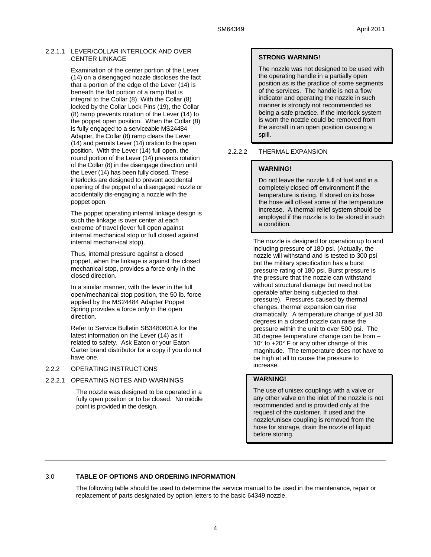## 2.2.1.1 LEVER/COLLAR INTERLOCK AND OVER CENTER LINKAGE

Examination of the center portion of the Lever (14) on a disengaged nozzle discloses the fact that a portion of the edge of the Lever (14) is beneath the flat portion of a ramp that is integral to the Collar (8). With the Collar (8) locked by the Collar Lock Pins (19), the Collar (8) ramp prevents rotation of the Lever (14) to the poppet open position. When the Collar (8) is fully engaged to a serviceable MS24484 Adapter, the Collar (8) ramp clears the Lever (14) and permits Lever (14) oration to the open position. With the Lever (14) full open, the round portion of the Lever (14) prevents rotation of the Collar (8) in the disengage direction until the Lever (14) has been fully closed. These interlocks are designed to prevent accidental opening of the poppet of a disengaged nozzle or accidentally dis-engaging a nozzle with the poppet open.

The poppet operating internal linkage design is such the linkage is over center at each extreme of travel (lever full open against internal mechanical stop or full closed against internal mechan-ical stop).

Thus, internal pressure against a closed poppet, when the linkage is against the closed mechanical stop, provides a force only in the closed direction.

In a similar manner, with the lever in the full open/mechanical stop position, the 50 lb. force applied by the MS24484 Adapter Poppet Spring provides a force only in the open direction.

Refer to Service Bulletin SB3480801A for the latest information on the Lever (14) as it related to safety. Ask Eaton or your Eaton Carter brand distributor for a copy if you do not have one.

## 2.2.2 OPERATING INSTRUCTIONS

#### 2.2.2.1 OPERATING NOTES AND WARNINGS

The nozzle was designed to be operated in a fully open position or to be closed. No middle point is provided in the design.

## **STRONG WARNING!**

The nozzle was not designed to be used with the operating handle in a partially open position as is the practice of some segments of the services. The handle is not a flow indicator and operating the nozzle in such manner is strongly not recommended as being a safe practice. If the interlock system is worn the nozzle could be removed from the aircraft in an open position causing a spill.

## 2.2.2.2 THERMAL EXPANSION

## **WARNING!**

Do not leave the nozzle full of fuel and in a completely closed off environment if the temperature is rising. If stored on its hose the hose will off-set some of the temperature increase. A thermal relief system should be employed if the nozzle is to be stored in such a condition.

The nozzle is designed for operation up to and including pressure of 180 psi. (Actually, the nozzle will withstand and is tested to 300 psi but the military specification has a burst pressure rating of 180 psi. Burst pressure is the pressure that the nozzle can withstand without structural damage but need not be operable after being subjected to that pressure). Pressures caused by thermal changes, thermal expansion can rise dramatically. A temperature change of just 30 degrees in a closed nozzle can raise the pressure within the unit to over 500 psi. The 30 degree temperature change can be from – 10° to +20° F or any other change of this magnitude. The temperature does not have to be high at all to cause the pressure to increase.

## **WARNING!**

The use of unisex couplings with a valve or any other valve on the inlet of the nozzle is not recommended and is provided only at the request of the customer. If used and the nozzle/unisex coupling is removed from the hose for storage, drain the nozzle of liquid before storing.

## 3.0 **TABLE OF OPTIONS AND ORDERING INFORMATION**

 The following table should be used to determine the service manual to be used in the maintenance, repair or replacement of parts designated by option letters to the basic 64349 nozzle.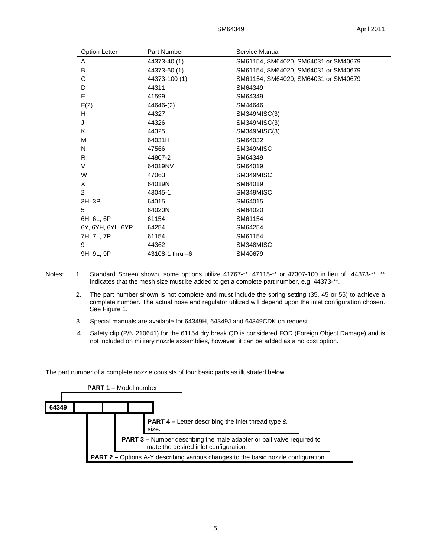| <b>Option Letter</b> | Part Number       | Service Manual                       |
|----------------------|-------------------|--------------------------------------|
| A                    | 44373-40 (1)      | SM61154, SM64020, SM64031 or SM40679 |
| B                    | 44373-60 (1)      | SM61154, SM64020, SM64031 or SM40679 |
| С                    | 44373-100 (1)     | SM61154, SM64020, SM64031 or SM40679 |
| D                    | 44311             | SM64349                              |
| Е                    | 41599             | SM64349                              |
| F(2)                 | 44646-(2)         | SM44646                              |
| H                    | 44327             | SM349MISC(3)                         |
| J                    | 44326             | SM349MISC(3)                         |
| K                    | 44325             | SM349MISC(3)                         |
| M                    | 64031H            | SM64032                              |
| N                    | 47566             | SM349MISC                            |
| R                    | 44807-2           | SM64349                              |
| V                    | 64019NV           | SM64019                              |
| W                    | 47063             | SM349MISC                            |
| X                    | 64019N            | SM64019                              |
| $\overline{2}$       | 43045-1           | SM349MISC                            |
| 3H, 3P               | 64015             | SM64015                              |
| 5                    | 64020N            | SM64020                              |
| 6H, 6L, 6P           | 61154             | SM61154                              |
| 6Y, 6YH, 6YL, 6YP    | 64254             | SM64254                              |
| 7H, 7L, 7P           | 61154             | SM61154                              |
| 9                    | 44362             | SM348MISC                            |
| 9H, 9L, 9P           | 43108-1 thru $-6$ | SM40679                              |

- Notes: 1. Standard Screen shown, some options utilize 41767-\*\*, 47115-\*\* or 47307-100 in lieu of 44373-\*\*. \*\* indicates that the mesh size must be added to get a complete part number, e.g. 44373-\*\*.
	- 2. The part number shown is not complete and must include the spring setting (35, 45 or 55) to achieve a complete number. The actual hose end regulator utilized will depend upon the inlet configuration chosen. See Figure 1.
	- 3. Special manuals are available for 64349H, 64349J and 64349CDK on request.
	- 4. Safety clip (P/N 210641) for the 61154 dry break QD is considered FOD (Foreign Object Damage) and is not included on military nozzle assemblies, however, it can be added as a no cost option.

The part number of a complete nozzle consists of four basic parts as illustrated below.

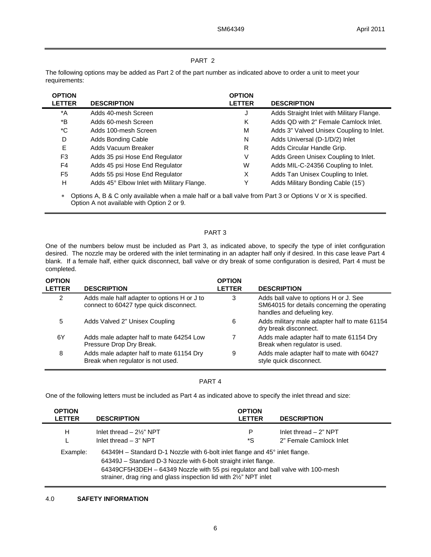## PART 2

The following options may be added as Part 2 of the part number as indicated above to order a unit to meet your requirements:

| <b>OPTION</b> |                                            | <b>OPTION</b> |                                           |
|---------------|--------------------------------------------|---------------|-------------------------------------------|
| <b>LETTER</b> | <b>DESCRIPTION</b>                         | <b>LETTER</b> | <b>DESCRIPTION</b>                        |
| *A            | Adds 40-mesh Screen                        | J             | Adds Straight Inlet with Military Flange. |
| *B            | Adds 60-mesh Screen                        | Κ             | Adds QD with 2" Female Camlock Inlet.     |
| *C            | Adds 100-mesh Screen                       | M             | Adds 3" Valved Unisex Coupling to Inlet.  |
| D             | Adds Bonding Cable                         | N             | Adds Universal (D-1/D/2) Inlet            |
| Е             | Adds Vacuum Breaker                        | R             | Adds Circular Handle Grip.                |
| F3            | Adds 35 psi Hose End Regulator             | V             | Adds Green Unisex Coupling to Inlet.      |
| F4            | Adds 45 psi Hose End Regulator             | W             | Adds MIL-C-24356 Coupling to Inlet.       |
| F5            | Adds 55 psi Hose End Regulator             | X             | Adds Tan Unisex Coupling to Inlet.        |
| н             | Adds 45° Elbow Inlet with Military Flange. | Y             | Adds Military Bonding Cable (15')         |

 Options A, B & C only available when a male half or a ball valve from Part 3 or Options V or X is specified. Option A not available with Option 2 or 9.

## PART 3

One of the numbers below must be included as Part 3, as indicated above, to specify the type of inlet configuration desired. The nozzle may be ordered with the inlet terminating in an adapter half only if desired. In this case leave Part 4 blank. If a female half, either quick disconnect, ball valve or dry break of some configuration is desired, Part 4 must be completed.

| <b>OPTION</b><br><b>LETTER</b> | <b>DESCRIPTION</b>                                                                     | <b>OPTION</b><br><b>LETTER</b> | <b>DESCRIPTION</b>                                                                                                   |
|--------------------------------|----------------------------------------------------------------------------------------|--------------------------------|----------------------------------------------------------------------------------------------------------------------|
| $\mathcal{P}$                  | Adds male half adapter to options H or J to<br>connect to 60427 type quick disconnect. | 3                              | Adds ball valve to options H or J. See<br>SM64015 for details concerning the operating<br>handles and defueling key. |
| 5                              | Adds Valved 2" Unisex Coupling                                                         | 6                              | Adds military male adapter half to mate 61154<br>dry break disconnect.                                               |
| 6Y                             | Adds male adapter half to mate 64254 Low<br>Pressure Drop Dry Break.                   |                                | Adds male adapter half to mate 61154 Dry<br>Break when regulator is used.                                            |
| 8                              | Adds male adapter half to mate 61154 Dry<br>Break when regulator is not used.          | 9                              | Adds male adapter half to mate with 60427<br>style quick disconnect.                                                 |

#### PART 4

One of the following letters must be included as Part 4 as indicated above to specify the inlet thread and size:

| <b>OPTION</b><br><b>LETTER</b> | <b>DESCRIPTION</b>                                                                                                                                                                                                                                                                                                 | <b>OPTION</b><br><b>LETTER</b> | <b>DESCRIPTION</b>                                 |
|--------------------------------|--------------------------------------------------------------------------------------------------------------------------------------------------------------------------------------------------------------------------------------------------------------------------------------------------------------------|--------------------------------|----------------------------------------------------|
| н                              | Inlet thread $-2\frac{1}{2}$ " NPT<br>Inlet thread $-3$ " NPT                                                                                                                                                                                                                                                      | P<br>*S                        | Inlet thread $-2$ " NPT<br>2" Female Camlock Inlet |
| Example:                       | $64349H - Standard D-1$ Nozzle with 6-bolt inlet flange and 45 $^{\circ}$ inlet flange.<br>64349J - Standard D-3 Nozzle with 6-bolt straight inlet flange.<br>64349CF5H3DEH - 64349 Nozzle with 55 psi regulator and ball valve with 100-mesh<br>strainer, drag ring and glass inspection lid with 21/2" NPT inlet |                                |                                                    |

## 4.0 **SAFETY INFORMATION**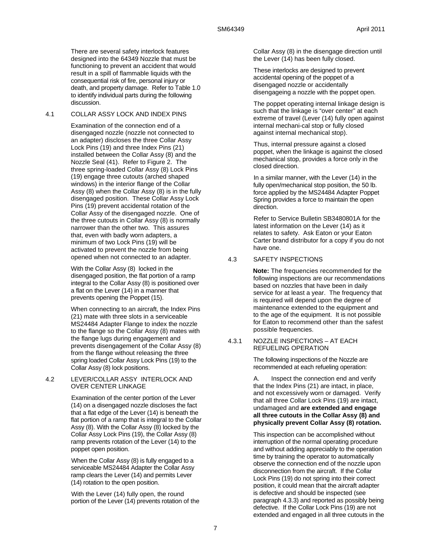There are several safety interlock features designed into the 64349 Nozzle that must be functioning to prevent an accident that would result in a spill of flammable liquids with the consequential risk of fire, personal injury or death, and property damage. Refer to Table 1.0 to identify individual parts during the following discussion.

#### 4.1 COLLAR ASSY LOCK AND INDEX PINS

Examination of the connection end of a disengaged nozzle (nozzle not connected to an adapter) discloses the three Collar Assy Lock Pins (19) and three Index Pins (21) installed between the Collar Assy (8) and the Nozzle Seal (41). Refer to Figure 2. The three spring-loaded Collar Assy (8) Lock Pins (19) engage three cutouts (arched shaped windows) in the interior flange of the Collar Assy (8) when the Collar Assy (8) is in the fully disengaged position. These Collar Assy Lock Pins (19) prevent accidental rotation of the Collar Assy of the disengaged nozzle. One of the three cutouts in Collar Assy (8) is normally narrower than the other two. This assures that, even with badly worn adapters, a minimum of two Lock Pins (19) will be activated to prevent the nozzle from being opened when not connected to an adapter.

With the Collar Assy (8) locked in the disengaged position, the flat portion of a ramp integral to the Collar Assy (8) is positioned over a flat on the Lever (14) in a manner that prevents opening the Poppet (15).

When connecting to an aircraft, the Index Pins (21) mate with three slots in a serviceable MS24484 Adapter Flange to index the nozzle to the flange so the Collar Assy (8) mates with the flange lugs during engagement and prevents disengagement of the Collar Assy (8) from the flange without releasing the three spring loaded Collar Assy Lock Pins (19) to the Collar Assy (8) lock positions.

#### 4.2 LEVER/COLLAR ASSY INTERLOCK AND OVER CENTER LINKAGE

Examination of the center portion of the Lever (14) on a disengaged nozzle discloses the fact that a flat edge of the Lever (14) is beneath the flat portion of a ramp that is integral to the Collar Assy (8). With the Collar Assy (8) locked by the Collar Assy Lock Pins (19), the Collar Assy (8) ramp prevents rotation of the Lever (14) to the poppet open position.

When the Collar Assy (8) is fully engaged to a serviceable MS24484 Adapter the Collar Assy ramp clears the Lever (14) and permits Lever (14) rotation to the open position.

With the Lever (14) fully open, the round portion of the Lever (14) prevents rotation of the Collar Assy (8) in the disengage direction until the Lever (14) has been fully closed.

These interlocks are designed to prevent accidental opening of the poppet of a disengaged nozzle or accidentally disengageing a nozzle with the poppet open.

The poppet operating internal linkage design is such that the linkage is "over center" at each extreme of travel (Lever (14) fully open against internal mechani-cal stop or fully closed against internal mechanical stop).

Thus, internal pressure against a closed poppet, when the linkage is against the closed mechanical stop, provides a force only in the closed direction.

In a similar manner, with the Lever (14) in the fully open/mechanical stop position, the 50 lb. force applied by the MS24484 Adapter Poppet Spring provides a force to maintain the open direction.

Refer to Service Bulletin SB3480801A for the latest information on the Lever (14) as it relates to safety. Ask Eaton or your Eaton Carter brand distributor for a copy if you do not have one.

## 4.3 SAFETY INSPECTIONS

**Note:** The frequencies recommended for the following inspections are our recommendations based on nozzles that have been in daily service for at least a year. The frequency that is required will depend upon the degree of maintenance extended to the equipment and to the age of the equipment. It is not possible for Eaton to recommend other than the safest possible frequencies.

#### 4.3.1 NOZZLE INSPECTIONS – AT EACH REFUELING OPERATION

The following inspections of the Nozzle are recommended at each refueling operation:

A. Inspect the connection end and verify that the Index Pins (21) are intact, in place, and not excessively worn or damaged. Verify that all three Collar Lock Pins (19) are intact, undamaged and **are extended and engage all three cutouts in the Collar Assy (8) and physically prevent Collar Assy (8) rotation.**

This inspection can be accomplished without interruption of the normal operating procedure and without adding appreciably to the operation time by training the operator to automatically observe the connection end of the nozzle upon disconnection from the aircraft. If the Collar Lock Pins (19) do not spring into their correct position, it could mean that the aircraft adapter is defective and should be inspected (see paragraph 4.3.3) and reported as possibly being defective. If the Collar Lock Pins (19) are not extended and engaged in all three cutouts in the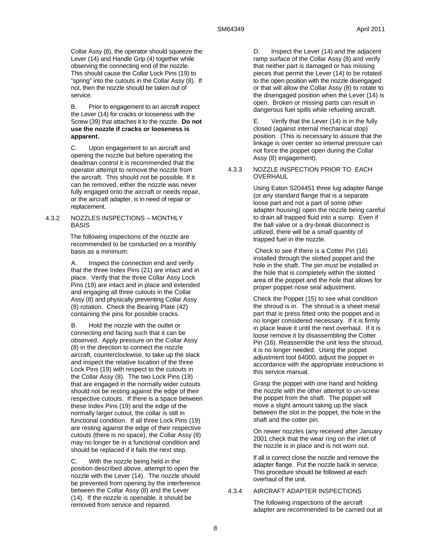Collar Assy (8), the operator should squeeze the Lever (14) and Handle Grip (4) together while observing the connecting end of the nozzle. This should cause the Collar Lock Pins (19) to "spring" into the cutouts in the Collar Assy (8). If not, then the nozzle should be taken out of service.

B. Prior to engagement to an aircraft inspect the Lever (14) for cracks or looseness with the Screw (39) that attaches it to the nozzle. **Do not use the nozzle if cracks or looseness is apparent.**

C. Upon engagement to an aircraft and opening the nozzle but before operating the deadman control it is recommended that the operator attempt to remove the nozzle from the aircraft. This should not be possible. If it can be removed, either the nozzle was never fully engaged onto the aircraft or needs repair, or the aircraft adapter, is in need of repair or replacement.

#### 4.3.2 NOZZLES INSPECTIONS – MONTHLY BASIS

The following inspections of the nozzle are recommended to be conducted on a monthly basis as a minimum:

A. Inspect the connection end and verify that the three Index Pins (21) are intact and in place. Verify that the three Collar Assy Lock Pins (19) are intact and in place and extended and engaging all three cutouts in the Collar Assy (8) and physically preventing Collar Assy (8) rotation. Check the Bearing Plate (42) containing the pins for possible cracks.

B. Hold the nozzle with the outlet or connecting end facing such that it can be observed. Apply pressure on the Collar Assy (8) in the direction to connect the nozzle aircraft, counterclockwise, to take up the slack and inspect the relative location of the three Lock Pins (19) with respect to the cutouts in the Collar Assy (8). The two Lock Pins (19) that are engaged in the normally wider cutouts should not be resting against the edge of their respective cutouts. If there is a space between these Index Pins (19) and the edge of the normally larger cutout, the collar is still in functional condition. If all three Lock Pins (19) are resting against the edge of their respective cutouts (there is no space), the Collar Assy (8) may no longer be in a functional condition and should be replaced if it fails the next step.

C. With the nozzle being held in the position described above, attempt to open the nozzle with the Lever (14). The nozzle should be prevented from opening by the interference between the Collar Assy (8) and the Lever (14). If the nozzle is openable, it should be removed from service and repaired.

D. Inspect the Lever (14) and the adjacent ramp surface of the Collar Assy (8) and verify that neither part is damaged or has missing pieces that permit the Lever (14) to be rotated to the open position with the nozzle disengaged or that will allow the Collar Assy (8) to rotate to the disengaged position when the Lever (14) is open. Broken or missing parts can result in dangerous fuel spills while refueling aircraft.

E. Verify that the Lever (14) is in the fully closed (against internal mechanical stop) position. (This is necessary to assure that the linkage is over center so internal pressure can not force the poppet open during the Collar Assy (8) engagement).

#### 4.3.3 NOZZLE INSPECTION PRIOR TO EACH OVERHAUL

Using Eaton S204451 three lug adapter flange (or any standard flange that is a separate loose part and not a part of some other adapter housing) open the nozzle being careful to drain all trapped fluid into a sump. Even if the ball valve or a dry-break disconnect is utilized, there will be a small quantity of trapped fuel in the nozzle.

 Check to see if there is a Cotter Pin (16) installed through the slotted poppet and the hole in the shaft. The pin must be installed in the hole that is completely within the slotted area of the poppet and the hole that allows for proper poppet nose seal adjustment.

Check the Poppet (15) to see what condition the shroud is in. The shroud is a sheet metal part that is press fitted onto the poppet and is no longer considered necessary. If it is firmly in place leave it until the next overhaul. If it is loose remove it by disassembling the Cotter Pin (16). Reassemble the unit less the shroud, it is no longer needed. Using the poppet adjustment tool 64000, adjust the poppet in accordance with the appropriate instructions in this service manual.

Grasp the poppet with one hand and holding the nozzle with the other attempt to un-screw the poppet from the shaft. The poppet will move a slight amount taking up the slack between the slot in the poppet, the hole in the shaft and the cotter pin.

On newer nozzles (any received after January 2001 check that the wear ring on the inlet of the nozzle is in place and is not worn out.

If all is correct close the nozzle and remove the adapter flange. Put the nozzle back in service. This procedure should be followed at each overhaul of the unit.

## 4.3.4 AIRCRAFT ADAPTER INSPECTIONS

The following inspections of the aircraft adapter are recommended to be carried out at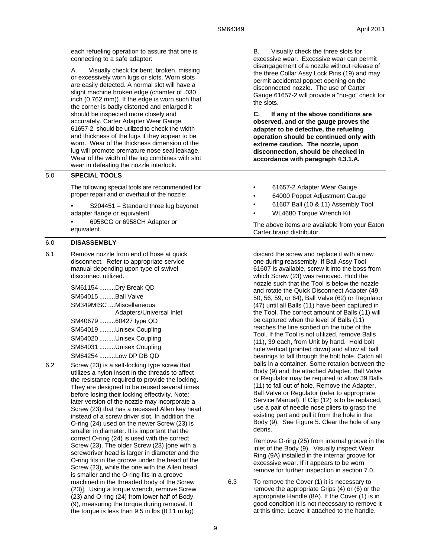each refueling operation to assure that one is connecting to a safe adapter:

A. Visually check for bent, broken, missing or excessively worn lugs or slots. Worn slots are easily detected. A normal slot will have a slight machine broken edge (chamfer of .030 inch (0.762 mm)). If the edge is worn such that the corner is badly distorted and enlarged it should be inspected more closely and accurately. Carter Adapter Wear Gauge, 61657-2, should be utilized to check the width and thickness of the lugs if they appear to be worn. Wear of the thickness dimension of the lug will promote premature nose seal leakage. Wear of the width of the lug combines with slot wear in defeating the nozzle interlock.

#### 5.0 **SPECIAL TOOLS**

The following special tools are recommended for proper repair and or overhaul of the nozzle:

- S204451 Standard three lug bayonet adapter flange or equivalent.
- 6958CG or 6958CH Adapter or equivalent.

#### 6.0 **DISASSEMBLY**

6.1 Remove nozzle from end of hose at quick disconnect. Refer to appropriate service manual depending upon type of swivel disconnect utilized.

> SM61154 .........Dry Break QD SM64015 .........Ball Valve SM349MISC ....Miscellaneous Adapters/Universal Inlet SM40679 .........60427 type QD SM64019 .........Unisex Coupling SM64020 .........Unisex Coupling SM64031 .........Unisex Coupling SM64254 .........Low DP DB QD

6.2 Screw (23) is a self-locking type screw that utilizes a nylon insert in the threads to affect the resistance required to provide the locking. They are designed to be reused several times before losing their locking effectivity. Note: later version of the nozzle may incorporate a Screw (23) that has a recessed Allen key head instead of a screw driver slot. In addition the O-ring (24) used on the newer Screw (23) is smaller in diameter. It is important that the correct O-ring (24) is used with the correct Screw (23). The older Screw (23) [one with a screwdriver head is larger in diameter and the O-ring fits in the groove under the head of the Screw (23), while the one with the Allen head is smaller and the O-ring fits in a groove machined in the threaded body of the Screw (23)]. Using a torque wrench, remove Screw (23) and O-ring (24) from lower half of Body (9), measuring the torque during removal. If the torque is less than 9.5 in lbs (0.11 m kg)

B. Visually check the three slots for excessive wear. Excessive wear can permit disengagement of a nozzle without release of the three Collar Assy Lock Pins (19) and may permit accidental poppet opening on the disconnected nozzle. The use of Carter Gauge 61657-2 will provide a "no-go" check for the slots.

**C. If any of the above conditions are observed, and or the gauge proves the adapter to be defective, the refueling operation should be continued only with extreme caution. The nozzle, upon disconnection, should be checked in accordance with paragraph 4.3.1.A.** 

- 61657-2 Adapter Wear Gauge
- 64000 Poppet Adjustment Gauge
- 61607 Ball (10 & 11) Assembly Tool
- WL4680 Torque Wrench Kit

The above items are available from your Eaton Carter brand distributor.

discard the screw and replace it with a new one during reassembly. If Ball Assy Tool 61607 is available, screw it into the boss from which Screw (23) was removed. Hold the nozzle such that the Tool is below the nozzle and rotate the Quick Disconnect Adapter (49, 50, 56, 59, or 64), Ball Valve (62) or Regulator (47) until all Balls (11) have been captured in the Tool. The correct amount of Balls (11) will be captured when the level of Balls (11) reaches the line scribed on the tube of the Tool. If the Tool is not utilized, remove Balls (11), 39 each, from Unit by hand. Hold bolt hole vertical (pointed down) and allow all ball bearings to fall through the bolt hole. Catch all balls in a container. Some rotation between the Body (9) and the attached Adapter, Ball Valve or Regulator may be required to allow 39 Balls (11) to fall out of hole. Remove the Adapter, Ball Valve or Regulator (refer to appropriate Service Manual). If Clip (12) is to be replaced, use a pair of needle nose pliers to grasp the existing part and pull it from the hole in the Body (9). See Figure 5. Clear the hole of any debris.

Remove O-ring (25) from internal groove in the inlet of the Body (9). Visually inspect Wear Ring (9A) installed in the internal groove for excessive wear. If it appears to be worn remove for further inspection in section 7.0.

6.3 To remove the Cover (1) it is necessary to remove the appropriate Grips (4) or (6) or the appropriate Handle (8A). If the Cover (1) is in good condition it is not necessary to remove it at this time. Leave it attached to the handle.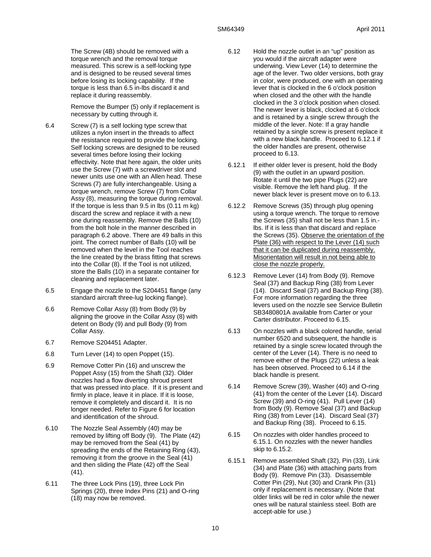The Screw (4B) should be removed with a torque wrench and the removal torque measured. This screw is a self-locking type and is designed to be reused several times before losing its locking capability. If the torque is less than 6.5 in-lbs discard it and replace it during reassembly.

Remove the Bumper (5) only if replacement is necessary by cutting through it.

- 6.4 Screw (7) is a self locking type screw that utilizes a nylon insert in the threads to affect the resistance required to provide the locking. Self locking screws are designed to be reused several times before losing their locking effectivity. Note that here again, the older units use the Screw (7) with a screwdriver slot and newer units use one with an Allen head. These Screws (7) are fully interchangeable. Using a torque wrench, remove Screw (7) from Collar Assy (8), measuring the torque during removal. If the torque is less than 9.5 in lbs (0.11 m kg) discard the screw and replace it with a new one during reassembly. Remove the Balls (10) from the bolt hole in the manner described in paragraph 6.2 above. There are 49 balls in this joint. The correct number of Balls (10) will be removed when the level in the Tool reaches the line created by the brass fitting that screws into the Collar (8). If the Tool is not utilized, store the Balls (10) in a separate container for cleaning and replacement later.
- 6.5 Engage the nozzle to the S204451 flange (any standard aircraft three-lug locking flange).
- 6.6 Remove Collar Assy (8) from Body (9) by aligning the groove in the Collar Assy (8) with detent on Body (9) and pull Body (9) from Collar Assy.
- 6.7 Remove S204451 Adapter.
- 6.8 Turn Lever (14) to open Poppet (15).
- 6.9 Remove Cotter Pin (16) and unscrew the Poppet Assy (15) from the Shaft (32). Older nozzles had a flow diverting shroud present that was pressed into place. If it is present and firmly in place, leave it in place. If it is loose, remove it completely and discard it. It is no longer needed. Refer to Figure 6 for location and identification of the shroud.
- 6.10 The Nozzle Seal Assembly (40) may be removed by lifting off Body (9). The Plate (42) may be removed from the Seal (41) by spreading the ends of the Retaining Ring (43), removing it from the groove in the Seal (41) and then sliding the Plate (42) off the Seal (41).
- 6.11 The three Lock Pins (19), three Lock Pin Springs (20), three Index Pins (21) and O-ring (18) may now be removed.
- 6.12 Hold the nozzle outlet in an "up" position as you would if the aircraft adapter were underwing. View Lever (14) to determine the age of the lever. Two older versions, both gray in color, were produced, one with an operating lever that is clocked in the 6 o'clock position when closed and the other with the handle clocked in the 3 o'clock position when closed. The newer lever is black, clocked at 6 o'clock and is retained by a single screw through the middle of the lever. Note: If a gray handle retained by a single screw is present replace it with a new black handle. Proceed to 6.12.1 if the older handles are present, otherwise proceed to 6.13.
- 6.12.1 If either older lever is present, hold the Body (9) with the outlet in an upward position. Rotate it until the two pipe Plugs (22) are visible. Remove the left hand plug. If the newer black lever is present move on to 6.13.
- 6.12.2 Remove Screws (35) through plug opening using a torque wrench. The torque to remove the Screws (35) shall not be less than 1.5 in. lbs. If it is less than that discard and replace the Screws (35). Observe the orientation of the Plate (36) with respect to the Lever (14) such that it can be duplicated during reassembly. Misorientation will result in not being able to close the nozzle properly.
- 6.12.3 Remove Lever (14) from Body (9). Remove Seal (37) and Backup Ring (38) from Lever (14). Discard Seal (37) and Backup Ring (38). For more information regarding the three levers used on the nozzle see Service Bulletin SB3480801A available from Carter or your Carter distributor. Proceed to 6.15.
- 6.13 On nozzles with a black colored handle, serial number 6520 and subsequent, the handle is retained by a single screw located through the center of the Lever (14). There is no need to remove either of the Plugs (22) unless a leak has been observed. Proceed to 6.14 if the black handle is present.
- 6.14 Remove Screw (39), Washer (40) and O-ring (41) from the center of the Lever (14). Discard Screw (39) and O-ring (41). Pull Lever (14) from Body (9). Remove Seal (37) and Backup Ring (38) from Lever (14). Discard Seal (37) and Backup Ring (38). Proceed to 6.15.
- 6.15 On nozzles with older handles proceed to 6.15.1. On nozzles with the newer handles skip to 6.15.2.
- 6.15.1 Remove assembled Shaft (32), Pin (33), Link (34) and Plate (36) with attaching parts from Body (9). Remove Pin (33). Disassemble Cotter Pin (29), Nut (30) and Crank Pin (31) only if replacement is necessary. (Note that older links will be red in color while the newer ones will be natural stainless steel. Both are accept-able for use.)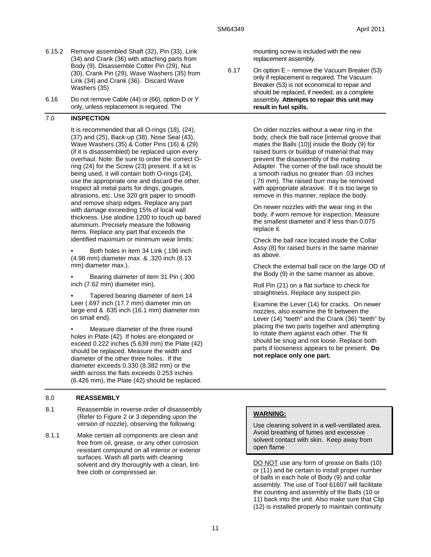- 6.15.2 Remove assembled Shaft (32), Pin (33), Link (34) and Crank (36) with attaching parts from Body (9). Disassemble Cotter Pin (29), Nut (30), Crank Pin (29), Wave Washers (35) from Link (34) and Crank (36). Discard Wave Washers (35)
- 6.16 Do not remove Cable (44) or (66), option D or Y only, unless replacement is required. The

## 7.0 **INSPECTION**

It is recommended that all O-rings (18), (24), (37) and (25), Back-up (38), Nose Seal (43), Wave Washers (35) & Cotter Pins (16) & (29) (if it is disassembled) be replaced upon every overhaul. Note: Be sure to order the correct Oring (24) for the Screw (23) present. If a kit is being used, it will contain both O-rings (24), use the appropriate one and discard the other. Inspect all metal parts for dings, gouges, abrasions, etc. Use 320 grit paper to smooth and remove sharp edges. Replace any part with damage exceeding 15% of local wall thickness. Use alodine 1200 to touch up bared aluminum. Precisely measure the following items. Replace any part that exceeds the identified maximum or minimum wear limits:

• Both holes in item 34 Link (.196 inch (4.98 mm) diameter max. & .320 inch (8.13 mm) diameter max.).

• Bearing diameter of item 31 Pin (.300 inch (7.62 mm) diameter min).

• Tapered bearing diameter of item 14 Leer (.697 inch (17.7 mm) diameter min on large end & .635 inch (16.1 mm) diameter min on small end).

• Measure diameter of the three round holes in Plate (42). If holes are elongated or exceed 0.222 inches (5.639 mm) the Plate (42) should be replaced. Measure the width and diameter of the other three holes. If the diameter exceeds 0.330 (8.382 mm) or the width across the flats exceeds 0.253 inches (6.426 mm), the Plate (42) should be replaced.

## 8.0 **REASSEMBLY**

- 8.1 Reassemble in reverse order of disassembly (Refer to Figure 2 or 3 depending upon the version of nozzle), observing the following:
- 8.1.1 Make certain all components are clean and free from oil, grease, or any other corrosion resistant compound on all interior or exterior surfaces. Wash all parts with cleaning solvent and dry thoroughly with a clean, lintfree cloth or compressed air.

mounting screw is included with the new replacement assembly.

6.17 On option E – remove the Vacuum Breaker (53) only if replacement is required. The Vacuum Breaker (53) is not economical to repair and should be replaced, if needed, as a complete assembly. **Attempts to repair this unit may result in fuel spills.**

> On older nozzles without a wear ring in the body, check the ball race [internal groove that mates the Balls (10)] inside the Body (9) for raised burrs or buildup of material that may prevent the disassembly of the mating Adapter. The corner of the ball race should be a smooth radius no greater than .03 inches (.76 mm). The raised burr may be removed with appropriate abrasive. If it is too large to remove in this manner, replace the body.

On newer nozzles with the wear ring in the body, if worn remove for inspection. Measure the smallest diameter and if less than 0.075 replace it.

Check the ball race located inside the Collar Assy (8) for raised burrs in the same manner as above.

Check the external ball race on the large OD of the Body (9) in the same manner as above.

Roll Pin (21) on a flat surface to check for straightness. Replace any suspect pin.

Examine the Lever (14) for cracks. On newer nozzles, also examine the fit between the Lever (14) "teeth" and the Crank (36) "teeth" by placing the two parts together and attempting to rotate them against each other. The fit should be snug and not loose. Replace both parts if looseness appears to be present. **Do not replace only one part.**

## **WARNING:**

Use cleaning solvent in a well-ventilated area. Avoid breathing of fumes and excessive solvent contact with skin. Keep away from open flame

DO NOT use any form of grease on Balls (10) or (11) and be certain to install proper number of balls in each hole of Body (9) and collar assembly. The use of Tool 61607 will facilitate the counting and assembly of the Balls (10 or 11) back into the unit. Also make sure that Clip (12) is installed properly to maintain continuity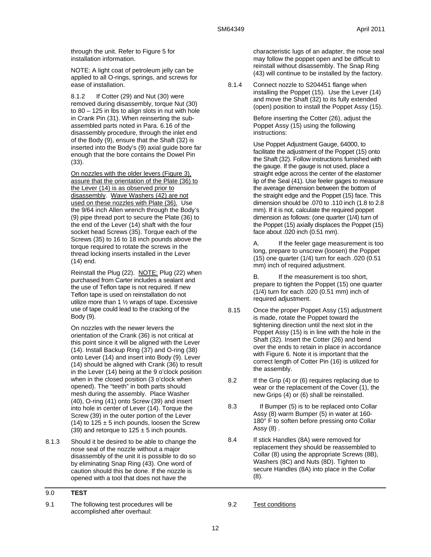through the unit. Refer to Figure 5 for installation information.

NOTE: A light coat of petroleum jelly can be applied to all O-rings, springs, and screws for ease of installation.

8.1.2 If Cotter (29) and Nut (30) were removed during disassembly, torque Nut (30) to 80 – 125 in lbs to align slots in nut with hole in Crank Pin (31). When reinserting the subassembled parts noted in Para. 6.16 of the disassembly procedure, through the inlet end of the Body (9), ensure that the Shaft (32) is inserted into the Body's (9) axial guide bore far enough that the bore contains the Dowel Pin (33).

On nozzles with the older levers (Figure 3), assure that the orientation of the Plate (36) to the Lever (14) is as observed prior to disassembly. Wave Washers (42) are not used on these nozzles with Plate (36). Use the 9/64 inch Allen wrench through the Body's (9) pipe thread port to secure the Plate (36) to the end of the Lever (14) shaft with the four socket head Screws (35). Torque each of the Screws (35) to 16 to 18 inch pounds above the torque required to rotate the screws in the thread locking inserts installed in the Lever (14) end.

Reinstall the Plug (22). NOTE: Plug (22) when purchased from Carter includes a sealant and the use of Teflon tape is not required. If new Teflon tape is used on reinstallation do not utilize more than 1 ½ wraps of tape. Excessive use of tape could lead to the cracking of the Body (9).

On nozzles with the newer levers the orientation of the Crank (36) is not critical at this point since it will be aligned with the Lever (14). Install Backup Ring (37) and O-ring (38) onto Lever (14) and insert into Body (9). Lever (14) should be aligned with Crank (36) to result in the Lever (14) being at the 9 o'clock position when in the closed position (3 o'clock when opened). The "teeth" in both parts should mesh during the assembly. Place Washer (40), O-ring (41) onto Screw (39) and insert into hole in center of Lever (14). Torque the Screw (39) in the outer portion of the Lever (14) to  $125 \pm 5$  inch pounds, loosen the Screw (39) and retorque to  $125 \pm 5$  inch pounds.

8.1.3 Should it be desired to be able to change the nose seal of the nozzle without a major disassembly of the unit it is possible to do so by eliminating Snap Ring (43). One word of caution should this be done. If the nozzle is opened with a tool that does not have the

9.1 The following test procedures will be accomplished after overhaul:

characteristic lugs of an adapter, the nose seal may follow the poppet open and be difficult to reinstall without disassembly. The Snap Ring (43) will continue to be installed by the factory.

8.1.4 Connect nozzle to S204451 flange when installing the Poppet (15). Use the Lever (14) and move the Shaft (32) to its fully extended (open) position to install the Poppet Assy (15).

> Before inserting the Cotter (26), adjust the Poppet Assy (15) using the following instructions:

Use Poppet Adjustment Gauge, 64000, to facilitate the adjustment of the Poppet (15) onto the Shaft (32). Follow instructions furnished with the gauge. If the gauge is not used, place a straight edge across the center of the elastomer lip of the Seal (41). Use feeler gages to measure the average dimension between the bottom of the straight edge and the Poppet (15) face. This dimension should be .070 to .110 inch (1.8 to 2.8 mm). If it is not, calculate the required poppet dimension as follows: (one quarter (1/4) turn of the Poppet (15) axially displaces the Poppet (15) face about .020 inch (0.51 mm).

A. If the feeler gage measurement is too long, prepare to unscrew (loosen) the Poppet (15) one quarter (1/4) turn for each .020 (0.51 mm) inch of required adjustment.

B. If the measurement is too short. prepare to tighten the Poppet (15) one quarter (1/4) turn for each .020 (0.51 mm) inch of required adjustment.

- 8.15 Once the proper Poppet Assy (15) adjustment is made, rotate the Poppet toward the tightening direction until the next slot in the Poppet Assy (15) is in line with the hole in the Shaft (32). Insert the Cotter (26) and bend over the ends to retain in place in accordance with Figure 6. Note it is important that the correct length of Cotter Pin (16) is utilized for the assembly.
- 8.2 If the Grip (4) or (6) requires replacing due to wear or the replacement of the Cover (1), the new Grips (4) or (6) shall be reinstalled.
- 8.3 If Bumper (5) is to be replaced onto Collar Assy (8) warm Bumper (5) in water at 160- 180° F to soften before pressing onto Collar Assy (8) .
- 8.4 If stick Handles (8A) were removed for replacement they should be reassembled to Collar (8) using the appropriate Screws (8B), Washers (8C) and Nuts (8D). Tighten to secure Handles (8A) into place in the Collar (8).

<sup>9.0</sup> **TEST**

<sup>9.2</sup> Test conditions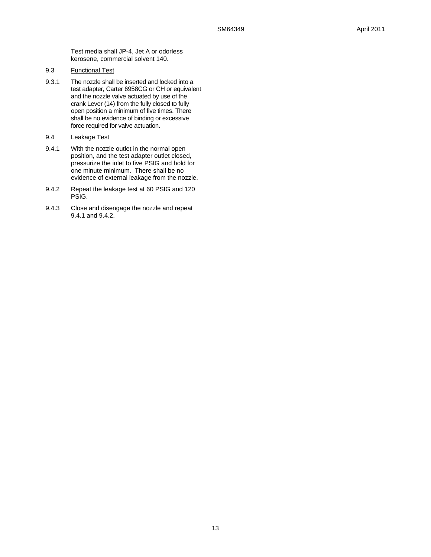Test media shall JP-4, Jet A or odorless kerosene, commercial solvent 140.

- 9.3 Functional Test
- 9.3.1 The nozzle shall be inserted and locked into a test adapter, Carter 6958CG or CH or equivalent and the nozzle valve actuated by use of the crank Lever (14) from the fully closed to fully open position a minimum of five times. There shall be no evidence of binding or excessive force required for valve actuation.
- 9.4 Leakage Test
- 9.4.1 With the nozzle outlet in the normal open position, and the test adapter outlet closed, pressurize the inlet to five PSIG and hold for one minute minimum. There shall be no evidence of external leakage from the nozzle.
- 9.4.2 Repeat the leakage test at 60 PSIG and 120 PSIG.
- 9.4.3 Close and disengage the nozzle and repeat 9.4.1 and 9.4.2.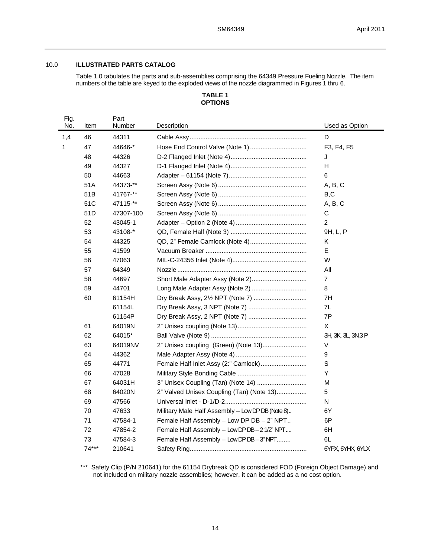## 10.0 **ILLUSTRATED PARTS CATALOG**

Table 1.0 tabulates the parts and sub-assemblies comprising the 64349 Pressure Fueling Nozzle. The item numbers of the table are keyed to the exploded views of the nozzle diagrammed in Figures 1 thru 6.

## **TABLE 1 OPTIONS**

| Fig.<br>No. | Item    | Part<br>Number | Description                                      | Used as Option      |
|-------------|---------|----------------|--------------------------------------------------|---------------------|
| 1,4         | 46      | 44311          |                                                  | D                   |
| 1           | 47      | 44646-*        |                                                  | F3, F4, F5          |
|             | 48      | 44326          |                                                  | J                   |
|             | 49      | 44327          |                                                  | н                   |
|             | 50      | 44663          |                                                  | 6                   |
|             | 51A     | 44373-**       |                                                  | A, B, C             |
|             | 51B     | 41767-**       |                                                  | B, C                |
|             | 51C     | 47115-**       |                                                  | A, B, C             |
|             | 51D     | 47307-100      |                                                  | C                   |
|             | 52      | 43045-1        |                                                  | $\overline{2}$      |
|             | 53      | 43108-*        |                                                  | 9H, L, P            |
|             | 54      | 44325          |                                                  | Κ                   |
|             | 55      | 41599          |                                                  | E                   |
|             | 56      | 47063          |                                                  | W                   |
|             | 57      | 64349          |                                                  | All                 |
|             | 58      | 44697          |                                                  | $\overline{7}$      |
|             | 59      | 44701          | Long Male Adapter Assy (Note 2)                  | 8                   |
|             | 60      | 61154H         | Dry Break Assy, 21/2 NPT (Note 7)                | 7H                  |
|             |         | 61154L         |                                                  | 7L                  |
|             |         | 61154P         |                                                  | 7P                  |
|             | 61      | 64019N         |                                                  | X                   |
|             | 62      | 64015*         |                                                  | 3H, 3K, 3L, 3N, 3 P |
|             | 63      | 64019NV        | 2" Unisex coupling (Green) (Note 13)             | V                   |
|             | 64      | 44362          |                                                  | 9                   |
|             | 65      | 44771          | Female Half Inlet Assy (2:" Camlock)             | $\mathsf S$         |
|             | 66      | 47028          |                                                  | Y                   |
|             | 67      | 64031H         | 3" Unisex Coupling (Tan) (Note 14)               | М                   |
|             | 68      | 64020N         | 2" Valved Unisex Coupling (Tan) (Note 13)        | 5                   |
|             | 69      | 47566          |                                                  | N                   |
|             | 70      | 47633          | Military Male Half Assembly - Low DP DB (Note 8) | 6Y                  |
|             | 71      | 47584-1        | Female Half Assembly - Low DP DB - 2" NPT        | 6P                  |
|             | 72      | 47854-2        | Female Half Assembly - Low DP DB - 2 1/2" NPT    | 6H                  |
|             | 73      | 47584-3        | Female Half Assembly - Low DP DB - 3" NPT        | 6L                  |
|             | $74***$ | 210641         |                                                  | 6YPX, 6YHX, 6YLX    |

\*\*\* Safety Clip (P/N 210641) for the 61154 Drybreak QD is considered FOD (Foreign Object Damage) and not included on military nozzle assemblies; however, it can be added as a no cost option.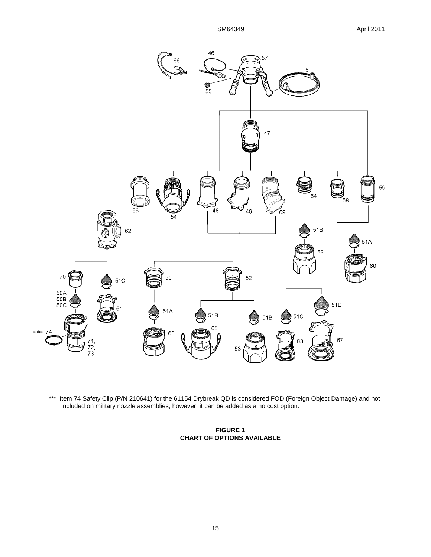

\*\*\* Item 74 Safety Clip (P/N 210641) for the 61154 Drybreak QD is considered FOD (Foreign Object Damage) and not included on military nozzle assemblies; however, it can be added as a no cost option.

## **FIGURE 1 CHART OF OPTIONS AVAILABLE**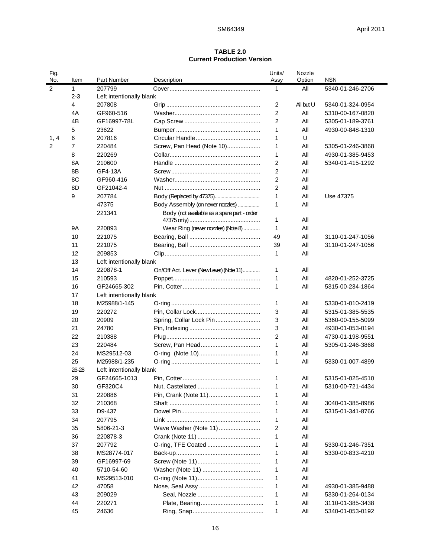## **TABLE 2.0 Current Production Version**

| Fig.<br>No.      | Item           | Part Number              | Description                                 | Units/<br>Assy | Nozzle<br>Option | <b>NSN</b>       |
|------------------|----------------|--------------------------|---------------------------------------------|----------------|------------------|------------------|
| $\boldsymbol{2}$ | 1              | 207799                   |                                             | 1              | All              | 5340-01-246-2706 |
|                  | $2 - 3$        | Left intentionally blank |                                             |                |                  |                  |
|                  | 4              | 207808                   |                                             | 2              | All but U        | 5340-01-324-0954 |
|                  | 4A             | GF960-516                |                                             | 2              | All              | 5310-00-167-0820 |
|                  | 4B             | GF16997-78L              |                                             | $\overline{2}$ | All              | 5305-01-189-3761 |
|                  | 5              | 23622                    |                                             | 1              | All              | 4930-00-848-1310 |
| 1, 4             | 6              | 207816                   |                                             | 1              | U                |                  |
| 2                | $\overline{7}$ | 220484                   | Screw, Pan Head (Note 10)                   | 1              | All              | 5305-01-246-3868 |
|                  | 8              | 220269                   |                                             | 1              | All              | 4930-01-385-9453 |
|                  | 8A             | 210600                   |                                             | $\overline{2}$ | All              | 5340-01-415-1292 |
|                  | 8B             | GF4-13A                  |                                             | $\overline{2}$ | All              |                  |
|                  | 8C             | GF960-416                |                                             | 2              | All              |                  |
|                  | 8D             | GF21042-4                |                                             | $\overline{2}$ | All              |                  |
|                  | 9              | 207784                   |                                             | 1              | All              | Use 47375        |
|                  |                | 47375                    | Body Assembly (on newer nozzles)            | 1              | All              |                  |
|                  |                | 221341                   | Body (not available as a spare part - order |                |                  |                  |
|                  |                |                          |                                             | 1              | All              |                  |
|                  | <b>9A</b>      | 220893                   | Wear Ring (newer nozzles) (Note 8)          | 1              | All              |                  |
|                  | 10             | 221075                   |                                             | 49             | All              | 3110-01-247-1056 |
|                  | 11             | 221075                   |                                             | 39             | All              | 3110-01-247-1056 |
|                  | 12             | 209853                   |                                             | 1              | All              |                  |
|                  | 13             | Left intentionally blank |                                             |                |                  |                  |
|                  | 14             | 220878-1                 | On/Off Act. Lever (New Lever) (Note 11)     | 1              | All              |                  |
|                  | 15             | 210593                   |                                             | $\mathbf 1$    | All              | 4820-01-252-3725 |
|                  | 16             | GF24665-302              |                                             | $\mathbf 1$    | All              | 5315-00-234-1864 |
|                  | 17             | Left intentionally blank |                                             |                |                  |                  |
|                  | 18             | M25988/1-145             |                                             | 1              | All              | 5330-01-010-2419 |
|                  | 19             | 220272                   |                                             | 3              | All              | 5315-01-385-5535 |
|                  | 20             | 20909                    | Spring, Collar Lock Pin                     | 3              | All              | 5360-00-155-5099 |
|                  | 21             | 24780                    |                                             | 3              | All              | 4930-01-053-0194 |
|                  | 22             | 210388                   |                                             | $\overline{2}$ | All              | 4730-01-198-9551 |
|                  | 23             | 220484                   |                                             | $\mathbf 1$    | All              | 5305-01-246-3868 |
|                  | 24             | MS29512-03               |                                             | 1              | All              |                  |
|                  | 25             | M25988/1-235             |                                             | 1              | All              | 5330-01-007-4899 |
|                  | $26 - 28$      | Left intentionally blank |                                             |                |                  |                  |
|                  | 29             | GF24665-1013             |                                             | 1              | All              | 5315-01-025-4510 |
|                  | 30             | GF320C4                  |                                             | 1              | All              | 5310-00-721-4434 |
|                  | 31             | 220886                   |                                             | 1              | All              |                  |
|                  | 32             | 210368                   |                                             | 1              | All              | 3040-01-385-8986 |
|                  | 33             | D9-437                   |                                             | 1              | All              | 5315-01-341-8766 |
|                  | 34             | 207795                   |                                             | 1              | All              |                  |
|                  | 35             | 5806-21-3                | Wave Washer (Note 11)                       | 2              | All              |                  |
|                  | 36             | 220878-3                 |                                             | 1              | All              |                  |
|                  | 37             | 207792                   | O-ring, TFE Coated                          | 1              | All              | 5330-01-246-7351 |
|                  | 38             | MS28774-017              |                                             | 1              | All              | 5330-00-833-4210 |
|                  | 39             | GF16997-69               |                                             | 1              | All              |                  |
|                  | 40             | 5710-54-60               |                                             | 1              | All              |                  |
|                  | 41             | MS29513-010              |                                             | 1              | All              |                  |
|                  | 42             | 47058                    |                                             | 1              | All              | 4930-01-385-9488 |
|                  | 43             | 209029                   |                                             | 1              | All              | 5330-01-264-0134 |
|                  | 44             | 220271                   |                                             | 1              | All              | 3110-01-385-3438 |
|                  | 45             | 24636                    |                                             | 1              | All              | 5340-01-053-0192 |
|                  |                |                          |                                             |                |                  |                  |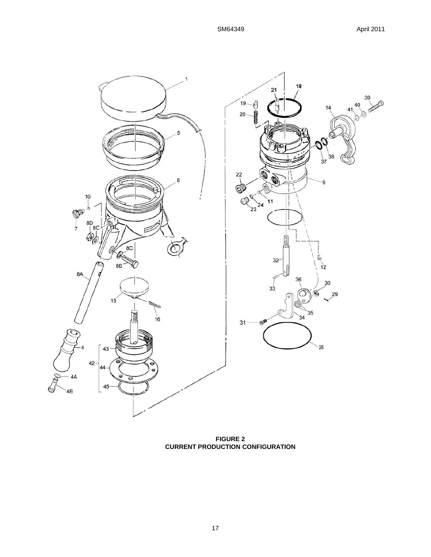

**FIGURE 2 CURRENT PRODUCTION CONFIGURATION**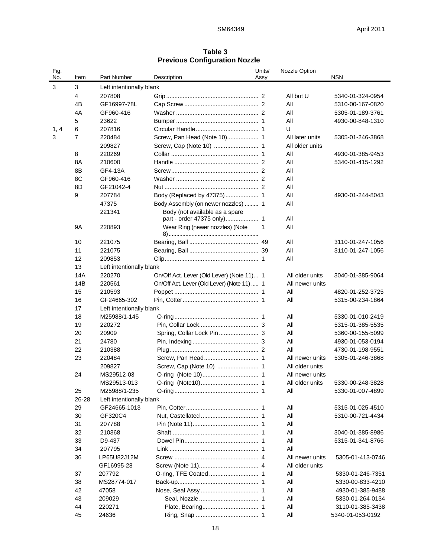## **Table 3 Previous Configuration Nozzle**

| Fig.<br>No. | Item           | Part Number              | Description                                | Units/<br>Assy | Nozzle Option   | <b>NSN</b>       |
|-------------|----------------|--------------------------|--------------------------------------------|----------------|-----------------|------------------|
|             |                |                          |                                            |                |                 |                  |
| 3           | 3              | Left intentionally blank |                                            |                |                 |                  |
|             | 4              | 207808                   |                                            |                | All but U       | 5340-01-324-0954 |
|             | 4B             | GF16997-78L              |                                            |                | All             | 5310-00-167-0820 |
|             | 4A             | GF960-416                |                                            |                | All             | 5305-01-189-3761 |
|             | 5              | 23622                    |                                            |                | All             | 4930-00-848-1310 |
| 1, 4        | 6              | 207816                   |                                            |                | U               |                  |
| 3           | $\overline{7}$ | 220484                   | Screw, Pan Head (Note 10) 1                |                | All later units | 5305-01-246-3868 |
|             |                | 209827                   |                                            |                | All older units |                  |
|             | 8              | 220269                   |                                            |                | All             | 4930-01-385-9453 |
|             | 8A             | 210600                   |                                            |                | All             | 5340-01-415-1292 |
|             | 8B             | GF4-13A                  |                                            |                | All             |                  |
|             | 8C             | GF960-416                |                                            |                | All             |                  |
|             | 8D             | GF21042-4                |                                            |                | All             |                  |
|             | 9              | 207784                   |                                            |                | All             | 4930-01-244-8043 |
|             |                | 47375                    | Body Assembly (on newer nozzles)  1        |                | All             |                  |
|             |                | 221341                   | Body (not available as a spare             |                |                 |                  |
|             |                |                          |                                            |                | All             |                  |
|             | <b>9A</b>      | 220893                   | Wear Ring (newer nozzles) (Note            | 1              | All             |                  |
|             | 10             | 221075                   |                                            |                | All             | 3110-01-247-1056 |
|             | 11             | 221075                   |                                            |                | All             | 3110-01-247-1056 |
|             | 12             | 209853                   |                                            |                | All             |                  |
|             | 13             | Left intentionally blank |                                            |                |                 |                  |
|             | 14A            | 220270                   | On/Off Act. Lever (Old Lever) (Note 11) 1  |                | All older units | 3040-01-385-9064 |
|             | 14B            | 220561                   | On/Off Act. Lever (Old Lever) (Note 11)  1 |                | All newer units |                  |
|             | 15             | 210593                   |                                            |                | All             | 4820-01-252-3725 |
|             | 16             | GF24665-302              |                                            |                | All             | 5315-00-234-1864 |
|             | 17             | Left intentionally blank |                                            |                |                 |                  |
|             | 18             | M25988/1-145             |                                            |                | All             | 5330-01-010-2419 |
|             | 19             | 220272                   |                                            |                | All             | 5315-01-385-5535 |
|             | 20             | 20909                    |                                            |                | All             | 5360-00-155-5099 |
|             | 21             | 24780                    |                                            |                | All             | 4930-01-053-0194 |
|             | 22             | 210388                   |                                            |                | All             | 4730-01-198-9551 |
|             | 23             | 220484                   |                                            |                | All newer units | 5305-01-246-3868 |
|             |                | 209827                   |                                            |                | All older units |                  |
|             | 24             | MS29512-03               |                                            |                | All newer units |                  |
|             |                | MS29513-013              |                                            |                | All older units | 5330-00-248-3828 |
|             | 25             | M25988/1-235             |                                            |                | All             | 5330-01-007-4899 |
|             | 26-28          | Left intentionally blank |                                            |                |                 |                  |
|             | 29             | GF24665-1013             |                                            |                | All             | 5315-01-025-4510 |
|             | 30             | GF320C4                  |                                            |                | All             | 5310-00-721-4434 |
|             | 31             | 207788                   |                                            |                | All             |                  |
|             | 32             | 210368                   |                                            |                | All             | 3040-01-385-8986 |
|             | 33             | D9-437                   |                                            |                | All             | 5315-01-341-8766 |
|             | 34             | 207795                   |                                            |                | All             |                  |
|             | 36             | LP65U82J12M              |                                            |                | All newer units | 5305-01-413-0746 |
|             |                | GF16995-28               |                                            |                | All older units |                  |
|             | 37             | 207792                   |                                            |                | All             | 5330-01-246-7351 |
|             | 38             | MS28774-017              |                                            |                | All             | 5330-00-833-4210 |
|             | 42             | 47058                    |                                            |                | All             | 4930-01-385-9488 |
|             | 43             | 209029                   |                                            |                | All             | 5330-01-264-0134 |
|             | 44             | 220271                   |                                            |                | All             | 3110-01-385-3438 |
|             | 45             | 24636                    |                                            |                | All             | 5340-01-053-0192 |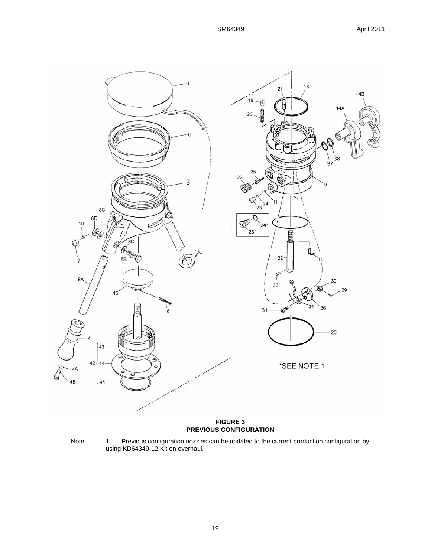

Note: 1. Previous configuration nozzles can be updated to the current production configuration by using KD64349-12 Kit on overhaul.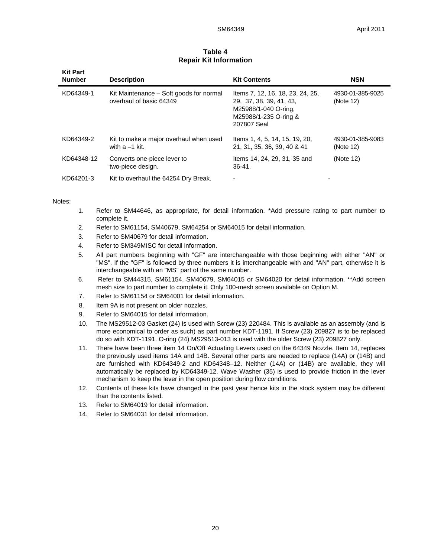| <b>Kit Part</b><br><b>Number</b> | <b>Description</b>                                                 | <b>Kit Contents</b>                                                                                                         | <b>NSN</b>                    |
|----------------------------------|--------------------------------------------------------------------|-----------------------------------------------------------------------------------------------------------------------------|-------------------------------|
| KD64349-1                        | Kit Maintenance – Soft goods for normal<br>overhaul of basic 64349 | Items 7, 12, 16, 18, 23, 24, 25,<br>29, 37, 38, 39, 41, 43,<br>M25988/1-040 O-ring,<br>M25988/1-235 O-ring &<br>207807 Seal | 4930-01-385-9025<br>(Note 12) |
| KD64349-2                        | Kit to make a major overhaul when used<br>with $a - 1$ kit.        | Items 1, 4, 5, 14, 15, 19, 20,<br>21, 31, 35, 36, 39, 40 & 41                                                               | 4930-01-385-9083<br>(Note 12) |
| KD64348-12                       | Converts one-piece lever to<br>two-piece design.                   | Items 14, 24, 29, 31, 35 and<br>$36 - 41$ .                                                                                 | (Note 12)                     |
| KD64201-3                        | Kit to overhaul the 64254 Dry Break.                               |                                                                                                                             |                               |

## **Table 4 Repair Kit Information**

Notes:

- 1. Refer to SM44646, as appropriate, for detail information. \*Add pressure rating to part number to complete it.
- 2. Refer to SM61154, SM40679, SM64254 or SM64015 for detail information.
- 3. Refer to SM40679 for detail information.
- 4. Refer to SM349MISC for detail information.
- 5. All part numbers beginning with "GF" are interchangeable with those beginning with either "AN" or "MS". If the "GF" is followed by three numbers it is interchangeable with and "AN" part, otherwise it is interchangeable with an "MS" part of the same number.
- 6. Refer to SM44315, SM61154, SM40679, SM64015 or SM64020 for detail information. \*\*Add screen mesh size to part number to complete it. Only 100-mesh screen available on Option M.
- 7. Refer to SM61154 or SM64001 for detail information.
- 8. Item 9A is not present on older nozzles.
- 9. Refer to SM64015 for detail information.
- 10. The MS29512-03 Gasket (24) is used with Screw (23) 220484. This is available as an assembly (and is more economical to order as such) as part number KDT-1191. If Screw (23) 209827 is to be replaced do so with KDT-1191. O-ring (24) MS29513-013 is used with the older Screw (23) 209827 only.
- 11. There have been three item 14 On/Off Actuating Levers used on the 64349 Nozzle. Item 14, replaces the previously used items 14A and 14B. Several other parts are needed to replace (14A) or (14B) and are furnished with KD64349-2 and KD64348–12. Neither (14A) or (14B) are available, they will automatically be replaced by KD64349-12. Wave Washer (35) is used to provide friction in the lever mechanism to keep the lever in the open position during flow conditions.
- 12. Contents of these kits have changed in the past year hence kits in the stock system may be different than the contents listed.
- 13. Refer to SM64019 for detail information.
- 14. Refer to SM64031 for detail information.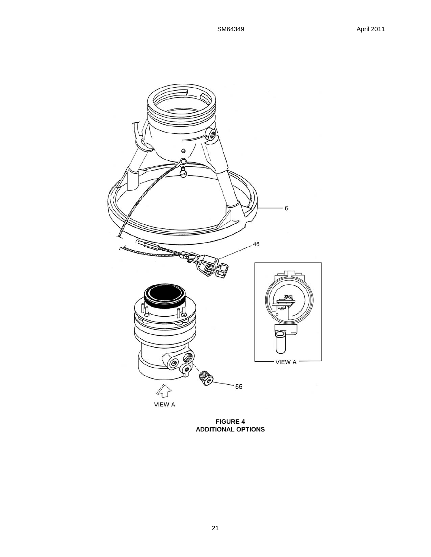

**FIGURE 4 ADDITIONAL OPTIONS**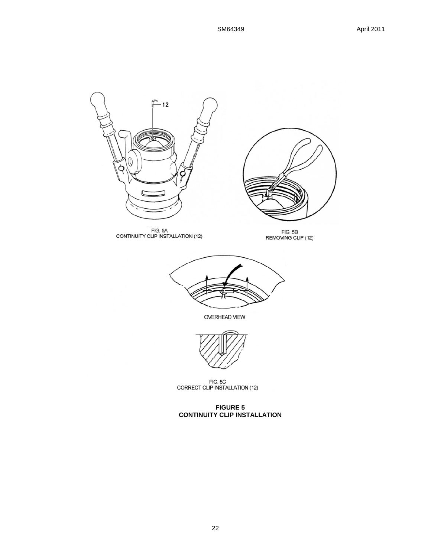

FIG. 5C<br>CORRECT CLIP INSTALLATION (12)

## **FIGURE 5 CONTINUITY CLIP INSTALLATION**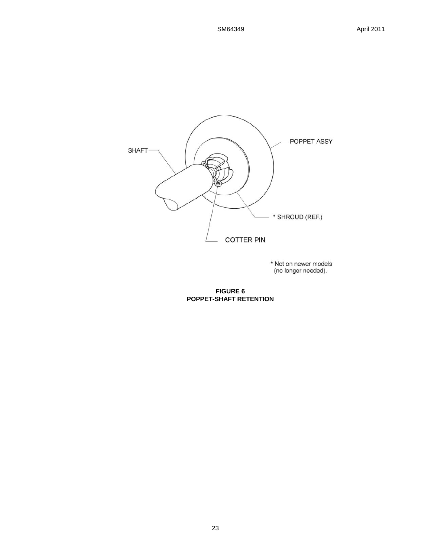

\* Not on newer models<br>(no longer needed).

**FIGURE 6 POPPET-SHAFT RETENTION**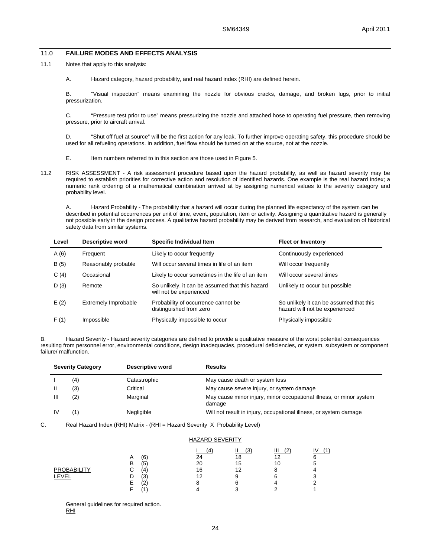#### 11.0 **FAILURE MODES AND EFFECTS ANALYSIS**

- 11.1 Notes that apply to this analysis:
	- A. Hazard category, hazard probability, and real hazard index (RHI) are defined herein.

B. "Visual inspection" means examining the nozzle for obvious cracks, damage, and broken lugs, prior to initial pressurization.

C. "Pressure test prior to use" means pressurizing the nozzle and attached hose to operating fuel pressure, then removing pressure, prior to aircraft arrival.

D. "Shut off fuel at source" will be the first action for any leak. To further improve operating safety, this procedure should be used for all refueling operations. In addition, fuel flow should be turned on at the source, not at the nozzle.

- E. Item numbers referred to in this section are those used in Figure 5.
- 11.2 RISK ASSESSMENT A risk assessment procedure based upon the hazard probability, as well as hazard severity may be required to establish priorities for corrective action and resolution of identified hazards. One example is the real hazard index; a numeric rank ordering of a mathematical combination arrived at by assigning numerical values to the severity category and probability level.

A. Hazard Probability - The probability that a hazard will occur during the planned life expectancy of the system can be described in potential occurrences per unit of time, event, population, item or activity. Assigning a quantitative hazard is generally not possible early in the design process. A qualitative hazard probability may be derived from research, and evaluation of historical safety data from similar systems.

| Level | <b>Descriptive word</b> | Specific Individual Item                                                   | <b>Fleet or Inventory</b>                                                 |
|-------|-------------------------|----------------------------------------------------------------------------|---------------------------------------------------------------------------|
| A(6)  | Frequent                | Likely to occur frequently                                                 | Continuously experienced                                                  |
| B(5)  | Reasonably probable     | Will occur several times in life of an item                                | Will occur frequently                                                     |
| C(4)  | Occasional              | Likely to occur sometimes in the life of an item                           | Will occur several times                                                  |
| D(3)  | Remote                  | So unlikely, it can be assumed that this hazard<br>will not be experienced | Unlikely to occur but possible                                            |
| E(2)  | Extremely Improbable    | Probability of occurrence cannot be<br>distinguished from zero             | So unlikely it can be assumed that this<br>hazard will not be experienced |
| F(1)  | Impossible              | Physically impossible to occur                                             | Physically impossible                                                     |

B. Hazard Severity - Hazard severity categories are defined to provide a qualitative measure of the worst potential consequences resulting from personnel error, environmental conditions, design inadequacies, procedural deficiencies, or system, subsystem or component failure/ malfunction.

|   | <b>Severity Category</b> | Descriptive word | <b>Results</b>                                                                |
|---|--------------------------|------------------|-------------------------------------------------------------------------------|
|   | (4)                      | Catastrophic     | May cause death or system loss                                                |
|   | (3)                      | Critical         | May cause severe injury, or system damage                                     |
| Ш | (2)                      | Marginal         | May cause minor injury, minor occupational illness, or minor system<br>damage |
|   |                          | Negligible       | Will not result in injury, occupational illness, or system damage             |

C. Real Hazard Index (RHI) Matrix - (RHI = Hazard Severity X Probability Level)

|                             | <b>HAZARD SEVERITY</b>                                              |                            |                           |                                  |                         |  |  |
|-----------------------------|---------------------------------------------------------------------|----------------------------|---------------------------|----------------------------------|-------------------------|--|--|
| <b>PROBABILITY</b><br>_EVEL | (6)<br>A<br>(5<br>в<br>⌒<br>(4)<br>$\mathbf \cdot$<br>(3<br>(2<br>⊢ | 14<br>24<br>20<br>16<br>12 | 13<br>18<br>15<br>12<br>6 | $^{^{\prime}2}$<br>12<br>10<br>6 | ١V<br>11<br>6<br>5<br>З |  |  |

 General guidelines for required action. RHI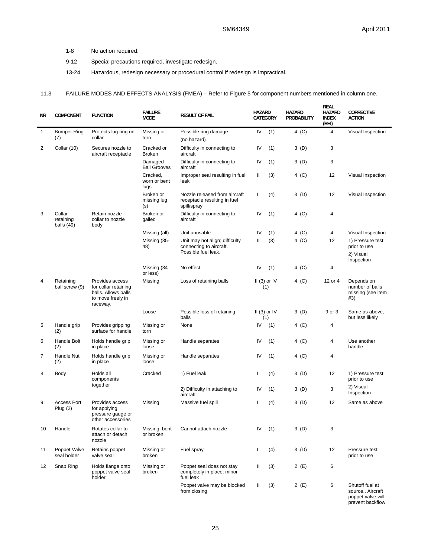1-8 No action required.

l.

- 9-12 Special precautions required, investigate redesign.
- 13-24 Hazardous, redesign necessary or procedural control if redesign is impractical.

## 11.3 FAILURE MODES AND EFFECTS ANALYSIS (FMEA) – Refer to Figure 5 for component numbers mentioned in column one.

| <b>NR</b>      | <b>COMPONENT</b>                    | <b>FUNCTION</b>                                                                                 | <b>FAILURE</b><br><b>MODE</b>    | <b>RESULT OF FAIL</b>                                                            | <b>HAZARD</b><br>CATEGORY |               | <b>HAZARD</b> | PROBABILITY | <b>REAL</b><br><b>HAZARD</b><br><b>INDEX</b><br>(RHI) | <b>CORRECTIVE</b><br><b>ACTION</b>                                          |
|----------------|-------------------------------------|-------------------------------------------------------------------------------------------------|----------------------------------|----------------------------------------------------------------------------------|---------------------------|---------------|---------------|-------------|-------------------------------------------------------|-----------------------------------------------------------------------------|
| 1              | <b>Bumper Ring</b><br>(7)           | Protects lug ring on<br>collar                                                                  | Missing or<br>torn               | Possible ring damage<br>(no hazard)                                              | IV                        | (1)           |               | 4 (C)       | $\overline{4}$                                        | Visual Inspection                                                           |
| $\overline{2}$ | Collar (10)                         | Secures nozzle to<br>aircraft receptacle                                                        | Cracked or<br><b>Broken</b>      | Difficulty in connecting to<br>aircraft                                          | IV                        | (1)           |               | 3(D)        | 3                                                     |                                                                             |
|                |                                     |                                                                                                 | Damaged<br><b>Ball Grooves</b>   | Difficulty in connecting to<br>aircraft                                          | IV                        | (1)           |               | 3(D)        | 3                                                     |                                                                             |
|                |                                     |                                                                                                 | Cracked.<br>worn or bent<br>lugs | Improper seal resulting in fuel<br>leak                                          | Ш                         | (3)           |               | 4 (C)       | 12                                                    | Visual Inspection                                                           |
|                |                                     |                                                                                                 | Broken or<br>missing lug<br>(S)  | Nozzle released from aircraft<br>receptacle resulting in fuel<br>spill/spray     | L                         | (4)           |               | 3(D)        | 12                                                    | Visual Inspection                                                           |
| 3              | Collar<br>retaining<br>balls $(49)$ | Retain nozzle<br>collar to nozzle<br>body                                                       | Broken or<br>galled              | Difficulty in connecting to<br>aircraft                                          | IV                        | (1)           |               | 4 (C)       | 4                                                     |                                                                             |
|                |                                     |                                                                                                 | Missing (all)                    | Unit unusable                                                                    | IV                        | (1)           |               | 4 (C)       | 4                                                     | Visual Inspection                                                           |
|                |                                     |                                                                                                 | Missing (35-<br>48)              | Unit may not align; difficulty<br>connecting to aircraft.<br>Possible fuel leak. | Ш                         | (3)           |               | $4$ (C)     | 12                                                    | 1) Pressure test<br>prior to use<br>2) Visual<br>Inspection                 |
|                |                                     |                                                                                                 | Missing (34<br>or less)          | No effect                                                                        | IV                        | (1)           |               | 4 (C)       | 4                                                     |                                                                             |
| 4              | Retaining<br>ball screw (9)         | Provides access<br>for collar retaining<br>balls. Allows balls<br>to move freely in<br>raceway. | Missing                          | Loss of retaining balls                                                          | (1)                       | $II(3)$ or IV |               | 4 (C)       | 12 or 4                                               | Depends on<br>number of balls<br>missing (see item<br>#3)                   |
|                |                                     |                                                                                                 | Loose                            | Possible loss of retaining<br>balls                                              | (1)                       | $II(3)$ or IV |               | 3(D)        | 9 or 3                                                | Same as above,<br>but less likely                                           |
| 5              | Handle grip<br>(2)                  | Provides gripping<br>surface for handle                                                         | Missing or<br>torn               | None                                                                             | IV                        | (1)           |               | 4 (C)       | 4                                                     |                                                                             |
| 6              | Handle Bolt<br>(2)                  | Holds handle grip<br>in place                                                                   | Missing or<br>loose              | Handle separates                                                                 | IV                        | (1)           |               | 4 (C)       | 4                                                     | Use another<br>handle                                                       |
| 7              | Handle Nut<br>(2)                   | Holds handle grip<br>in place                                                                   | Missing or<br>loose              | Handle separates                                                                 | IV                        | (1)           |               | 4 (C)       | $\overline{4}$                                        |                                                                             |
| 8              | Body                                | Holds all<br>components                                                                         | Cracked                          | 1) Fuel leak                                                                     | L                         | (4)           |               | 3(D)        | 12                                                    | 1) Pressure test<br>prior to use                                            |
|                |                                     | together                                                                                        |                                  | 2) Difficulty in attaching to<br>aircraft                                        | IV                        | (1)           |               | 3 (D)       | 3                                                     | 2) Visual<br>Inspection                                                     |
| 9              | <b>Access Port</b><br>Plug $(2)$    | Provides access<br>for applying<br>pressure gauge or<br>other accessories                       | Missing                          | Massive fuel spill                                                               | т                         | (4)           |               | 3 (D)       | 12                                                    | Same as above                                                               |
| 10             | Handle                              | Rotates collar to<br>attach or detach<br>nozzle                                                 | Missing, bent<br>or broken       | Cannot attach nozzle                                                             | IV                        | (1)           |               | 3 (D)       | 3                                                     |                                                                             |
| 11             | Poppet Valve<br>seal holder         | Retains poppet<br>valve seal                                                                    | Missing or<br>broken             | Fuel spray                                                                       | T                         | (4)           |               | 3(D)        | 12                                                    | Pressure test<br>prior to use                                               |
| 12             | Snap Ring                           | Holds flange onto<br>poppet valve seal<br>holder                                                | Missing or<br>broken             | Poppet seal does not stay<br>completely in place; minor<br>fuel leak             | Ш                         | (3)           |               | 2(E)        | 6                                                     |                                                                             |
|                |                                     |                                                                                                 |                                  | Poppet valve may be blocked<br>from closing                                      | Ш                         | (3)           |               | 2 (E)       | 6                                                     | Shutoff fuel at<br>source Aircraft<br>poppet valve will<br>prevent backflow |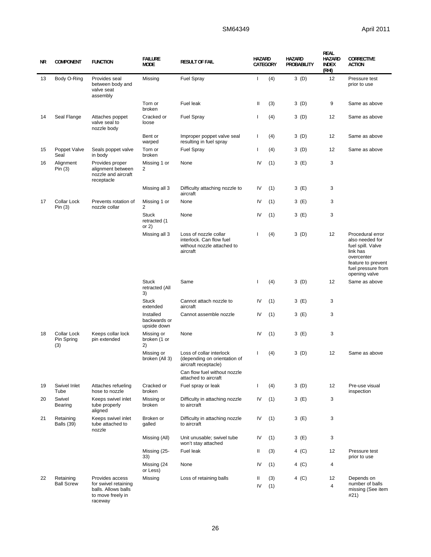# SM64349 April 2011

| ΝR | <b>COMPONENT</b>                        | <b>FUNCTION</b>                                                           | <b>FAILURE</b><br><b>MODE</b>            | <b>RESULT OF FAIL</b>                                                                       | <b>HAZARD</b><br>CATEGORY |     | <b>HAZARD</b><br><b>PROBABILITY</b> | <b>REAL</b><br><b>HAZARD</b><br><b>INDEX</b><br>(RHI) | CORRECTIVE<br><b>ACTION</b>                                                                                                                     |
|----|-----------------------------------------|---------------------------------------------------------------------------|------------------------------------------|---------------------------------------------------------------------------------------------|---------------------------|-----|-------------------------------------|-------------------------------------------------------|-------------------------------------------------------------------------------------------------------------------------------------------------|
| 13 | Body O-Ring                             | Provides seal<br>between body and<br>valve seat<br>assembly               | Missing                                  | <b>Fuel Spray</b>                                                                           | $\mathbf{I}$              | (4) | 3(D)                                | 12                                                    | Pressure test<br>prior to use                                                                                                                   |
|    |                                         |                                                                           | Torn or<br>broken                        | Fuel leak                                                                                   | Ш                         | (3) | 3(D)                                | 9                                                     | Same as above                                                                                                                                   |
| 14 | Seal Flange                             | Attaches poppet<br>valve seal to<br>nozzle body                           | Cracked or<br>loose                      | <b>Fuel Spray</b>                                                                           | T                         | (4) | 3 (D)                               | 12                                                    | Same as above                                                                                                                                   |
|    |                                         |                                                                           | Bent or<br>warped                        | Improper poppet valve seal<br>resulting in fuel spray                                       | T                         | (4) | 3(D)                                | 12                                                    | Same as above                                                                                                                                   |
| 15 | Poppet Valve<br>Seal                    | Seals poppet valve<br>in body                                             | Torn or<br>broken                        | <b>Fuel Spray</b>                                                                           | T                         | (4) | 3 (D)                               | 12                                                    | Same as above                                                                                                                                   |
| 16 | Alignment<br>Pin $(3)$                  | Provides proper<br>alignment between<br>nozzle and aircraft<br>receptacle | Missing 1 or<br>2                        | None                                                                                        | IV                        | (1) | 3 (E)                               | 3                                                     |                                                                                                                                                 |
|    |                                         |                                                                           | Missing all 3                            | Difficulty attaching nozzle to<br>aircraft                                                  | IV                        | (1) | 3 (E)                               | 3                                                     |                                                                                                                                                 |
| 17 | Collar Lock<br>Pin $(3)$                | Prevents rotation of<br>nozzle collar                                     | Missing 1 or<br>2                        | None                                                                                        | IV                        | (1) | 3 (E)                               | 3                                                     |                                                                                                                                                 |
|    |                                         |                                                                           | <b>Stuck</b><br>retracted (1<br>or $2)$  | None                                                                                        | IV                        | (1) | 3 (E)                               | 3                                                     |                                                                                                                                                 |
|    |                                         |                                                                           | Missing all 3                            | Loss of nozzle collar<br>interlock. Can flow fuel<br>without nozzle attached to<br>aircraft | I                         | (4) | 3(D)                                | 12                                                    | Procedural error<br>also needed for<br>fuel spill. Valve<br>link has<br>overcenter<br>feature to prevent<br>fuel pressure from<br>opening valve |
|    |                                         |                                                                           | <b>Stuck</b><br>retracted (All<br>3)     | Same                                                                                        | T                         | (4) | 3(D)                                | 12                                                    | Same as above                                                                                                                                   |
|    |                                         |                                                                           | <b>Stuck</b><br>extended                 | Cannot attach nozzle to<br>aircraft                                                         | IV                        | (1) | 3 (E)                               | 3                                                     |                                                                                                                                                 |
|    |                                         |                                                                           | Installed<br>backwards or<br>upside down | Cannot assemble nozzle                                                                      | IV                        | (1) | 3 (E)                               | 3                                                     |                                                                                                                                                 |
| 18 | <b>Collar Lock</b><br>Pin Spring<br>(3) | Keeps collar lock<br>pin extended                                         | Missing or<br>broken (1 or<br>2)         | None                                                                                        | IV                        | (1) | 3 (E)                               | 3                                                     |                                                                                                                                                 |
|    |                                         |                                                                           | Missing or<br>broken (All 3)             | Loss of collar interlock<br>(depending on orientation of<br>aircraft receptacle)            | L                         | (4) | 3(D)                                | 12                                                    | Same as above                                                                                                                                   |
|    |                                         |                                                                           |                                          | Can flow fuel without nozzle<br>attached to aircraft                                        |                           |     |                                     |                                                       |                                                                                                                                                 |
| 19 | Swivel Inlet<br>Tube                    | Attaches refueling<br>hose to nozzle                                      | Cracked or<br>broken                     | Fuel spray or leak                                                                          | $\mathbf{I}$              | (4) | 3(D)                                | 12                                                    | Pre-use visual<br>inspection                                                                                                                    |
| 20 | Swivel<br>Bearing                       | Keeps swivel inlet<br>tube properly<br>aligned                            | Missing or<br>broken                     | Difficulty in attaching nozzle<br>to aircraft                                               | IV                        | (1) | 3 (E)                               | 3                                                     |                                                                                                                                                 |
| 21 | Retaining<br><b>Balls (39)</b>          | Keeps swivel inlet<br>tube attached to<br>nozzle                          | Broken or<br>galled                      | Difficulty in attaching nozzle<br>to aircraft                                               | IV                        | (1) | 3 (E)                               | 3                                                     |                                                                                                                                                 |
|    |                                         |                                                                           | Missing (All)                            | Unit unusable; swivel tube<br>won't stay attached                                           | IV                        | (1) | 3 (E)                               | 3                                                     |                                                                                                                                                 |
|    |                                         |                                                                           | Missing (25-<br>33)                      | Fuel leak                                                                                   | Ш                         | (3) | 4 (C)                               | 12                                                    | Pressure test<br>prior to use                                                                                                                   |
|    |                                         |                                                                           | Missing (24<br>or Less)                  | None                                                                                        | IV                        | (1) | 4 (C)                               | 4                                                     |                                                                                                                                                 |
| 22 | Retaining<br><b>Ball Screw</b>          | Provides access<br>for swivel retaining                                   | Missing                                  | Loss of retaining balls                                                                     | Ш                         | (3) | 4 (C)                               | 12                                                    | Depends on<br>number of balls                                                                                                                   |
|    |                                         | balls. Allows balls<br>to move freely in<br>raceway                       |                                          |                                                                                             | IV                        | (1) |                                     | 4                                                     | missing (See item<br>#21)                                                                                                                       |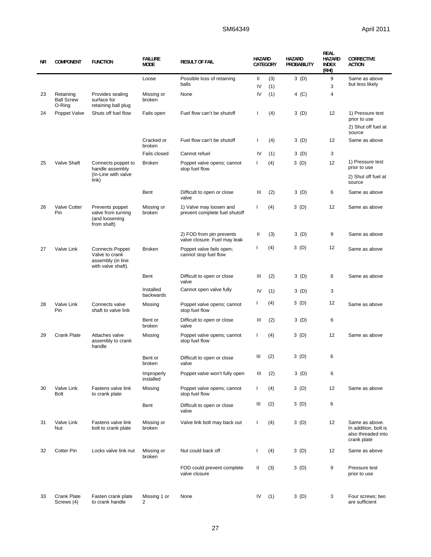# SM64349 April 2011

| ΝR | <b>COMPONENT</b>                         | <b>FUNCTION</b>                                                                     | <b>FAILURE</b><br><b>MODE</b> | <b>RESULT OF FAIL</b>                                    | <b>HAZARD</b><br>CATEGORY |            | <b>HAZARD</b><br><b>PROBABILITY</b> | <b>REAL</b><br><b>HAZARD</b><br><b>INDEX</b><br>(RHI) | <b>CORRECTIVE</b><br><b>ACTION</b>                                          |
|----|------------------------------------------|-------------------------------------------------------------------------------------|-------------------------------|----------------------------------------------------------|---------------------------|------------|-------------------------------------|-------------------------------------------------------|-----------------------------------------------------------------------------|
|    |                                          |                                                                                     | Loose                         | Possible loss of retaining<br>balls                      | Ш<br>IV                   | (3)<br>(1) | 3(D)                                | 9<br>3                                                | Same as above<br>but less likely                                            |
| 23 | Retaining<br><b>Ball Screw</b><br>O-Ring | Provides sealing<br>surface for<br>retaining ball plug                              | Missing or<br>broken          | None                                                     | IV                        | (1)        | 4 (C)                               | 4                                                     |                                                                             |
| 24 | Poppet Valve                             | Shuts off fuel flow                                                                 | Fails open                    | Fuel flow can't be shutoff                               | T                         | (4)        | 3(D)                                | 12                                                    | 1) Pressure test<br>prior to use<br>2) Shut off fuel at                     |
|    |                                          |                                                                                     | Cracked or<br>broken          | Fuel flow can't be shutoff                               | T                         | (4)        | 3(D)                                | 12                                                    | source<br>Same as above                                                     |
|    |                                          |                                                                                     | Fails closed                  | Cannot refuel                                            | IV                        | (1)        | 3(D)                                | 3                                                     |                                                                             |
| 25 | Valve Shaft                              | Connects poppet to<br>handle assembly<br>(In-Line with valve                        | <b>Broken</b>                 | Poppet valve opens; cannot<br>stop fuel flow             | Ι.                        | (4)        | 3(D)                                | 12                                                    | 1) Pressure test<br>prior to use<br>2) Shut off fuel at                     |
|    |                                          | link)                                                                               |                               |                                                          |                           |            |                                     |                                                       | source                                                                      |
|    |                                          |                                                                                     | Bent                          | Difficult to open or close<br>valve                      | Ш                         | (2)        | 3(D)                                | 6                                                     | Same as above                                                               |
| 26 | Valve Cotter<br>Pin                      | Prevents poppet<br>valve from turning<br>(and loosening<br>from shaft)              | Missing or<br>broken          | 1) Valve may loosen and<br>prevent complete fuel shutoff | T                         | (4)        | 3(D)                                | 12                                                    | Same as above                                                               |
|    |                                          |                                                                                     |                               | 2) FOD from pin prevents<br>valve closure. Fuel may leak | Ш                         | (3)        | 3(D)                                | 9                                                     | Same as above                                                               |
| 27 | Valve Link                               | <b>Connects Poppet</b><br>Valve to crank<br>assembly (in line<br>with valve shaft). | <b>Broken</b>                 | Poppet valve fails open;<br>cannot stop fuel flow        | I.                        | (4)        | 3 (D)                               | 12                                                    | Same as above                                                               |
|    |                                          |                                                                                     | Bent                          | Difficult to open or close<br>valve                      | Ш                         | (2)        | 3(D)                                | 6                                                     | Same as above                                                               |
|    |                                          |                                                                                     | Installed<br>backwards        | Cannot open valve fully                                  | IV                        | (1)        | 3 (D)                               | 3                                                     |                                                                             |
| 28 | Valve Link<br>Pin                        | Connects valve<br>shaft to valve link                                               | Missing                       | Poppet valve opens; cannot<br>stop fuel flow             | T                         | (4)        | 3(D)                                | 12                                                    | Same as above                                                               |
|    |                                          |                                                                                     | Bent or<br>broken             | Difficult to open or close<br>valve                      | Ш                         | (2)        | 3(D)                                | 6                                                     |                                                                             |
| 29 | <b>Crank Plate</b>                       | Attaches valve<br>assembly to crank<br>handle                                       | Missing                       | Poppet valve opens; cannot<br>stop fuel flow             | $\mathbf{I}$              | (4)        | 3 (D)                               | 12                                                    | Same as above                                                               |
|    |                                          |                                                                                     | Bent or<br>broken             | Difficult to open or close<br>valve                      | Ш                         | (2)        | 3 (D)                               | 6                                                     |                                                                             |
|    |                                          |                                                                                     | Improperly<br>installed       | Poppet valve won't fully open                            | Ш                         | (2)        | 3(D)                                | 6                                                     |                                                                             |
| 30 | Valve Link<br>Bolt                       | Fastens valve link<br>to crank plate                                                | Missing                       | Poppet valve opens; cannot<br>stop fuel flow             | $\mathbf{I}$              | (4)        | 3(D)                                | 12                                                    | Same as above                                                               |
|    |                                          |                                                                                     | Bent                          | Difficult to open or close<br>valve                      | Ш                         | (2)        | 3 (D)                               | 6                                                     |                                                                             |
| 31 | Valve Link<br>Nut                        | Fastens valve link<br>bolt to crank plate                                           | Missing or<br>broken          | Valve link bolt may back out                             | $\mathsf{I}$              | (4)        | 3(D)                                | 12                                                    | Same as above.<br>In addition, bolt is<br>also threaded into<br>crank plate |
| 32 | <b>Cotter Pin</b>                        | Locks valve link nut                                                                | Missing or<br>broken          | Nut could back off                                       | J.                        | (4)        | 3 (D)                               | 12                                                    | Same as above                                                               |
|    |                                          |                                                                                     |                               | FOD could prevent complete<br>valve closure              | Ш                         | (3)        | 3(D)                                | 9                                                     | Pressure test<br>prior to use                                               |
| 33 | <b>Crank Plate</b><br>Screws (4)         | Fasten crank plate<br>to crank handle                                               | Missing 1 or<br>2             | None                                                     | IV                        | (1)        | 3(D)                                | 3                                                     | Four screws; two<br>are sufficient                                          |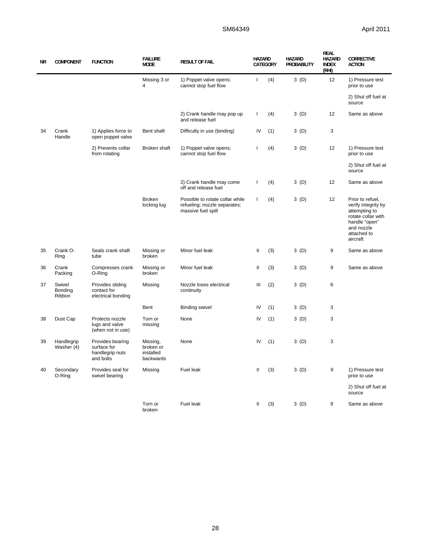| ΝR | <b>COMPONENT</b>            | <b>FUNCTION</b>                                                 | <b>FAILURE</b><br><b>MODE</b>                   | <b>RESULT OF FAIL</b>                                                                 | <b>HAZARD</b> | CATEGORY | <b>HAZARD</b><br>PROBABILITY | <b>REAL</b><br>HAZARD<br><b>INDEX</b><br>(RHI) | <b>CORRECTIVE</b><br><b>ACTION</b>                                                                                                       |
|----|-----------------------------|-----------------------------------------------------------------|-------------------------------------------------|---------------------------------------------------------------------------------------|---------------|----------|------------------------------|------------------------------------------------|------------------------------------------------------------------------------------------------------------------------------------------|
|    |                             |                                                                 | Missing 3 or<br>4                               | 1) Poppet valve opens;<br>cannot stop fuel flow                                       | $\mathbf{I}$  | (4)      | 3(D)                         | 12                                             | 1) Pressure test<br>prior to use                                                                                                         |
|    |                             |                                                                 |                                                 |                                                                                       |               |          |                              |                                                | 2) Shut off fuel at<br>source                                                                                                            |
|    |                             |                                                                 |                                                 | 2) Crank handle may pop up<br>and release fuel                                        | $\mathbf{I}$  | (4)      | 3(D)                         | 12                                             | Same as above                                                                                                                            |
| 34 | Crank<br>Handle             | 1) Applies force to<br>open poppet valve                        | Bent shaft                                      | Difficulty in use (binding)                                                           | IV            | (1)      | 3(D)                         | 3                                              |                                                                                                                                          |
|    |                             | 2) Prevents collar<br>from rotating                             | Broken shaft                                    | 1) Poppet valve opens;<br>cannot stop fuel flow                                       | T             | (4)      | 3(D)                         | 12                                             | 1) Pressure test<br>prior to use                                                                                                         |
|    |                             |                                                                 |                                                 |                                                                                       |               |          |                              |                                                | 2) Shut off fuel at<br>source                                                                                                            |
|    |                             |                                                                 |                                                 | 2) Crank handle may come<br>off and release fuel                                      | $\mathbf{I}$  | (4)      | 3(D)                         | 12                                             | Same as above                                                                                                                            |
|    |                             |                                                                 | <b>Broken</b><br>locking lug                    | Possible to rotate collar while<br>refueling; nozzle separates;<br>massive fuel spill | $\mathbf{I}$  | (4)      | 3(D)                         | 12                                             | Prior to refuel,<br>verify integrity by<br>attempting to<br>rotate collar with<br>handle "open"<br>and nozzle<br>attached to<br>aircraft |
| 35 | Crank O-<br>Ring            | Seals crank shaft<br>tube                                       | Missing or<br>broken                            | Minor fuel leak                                                                       | Ш             | (3)      | 3(D)                         | 9                                              | Same as above                                                                                                                            |
| 36 | Crank<br>Packing            | Compresses crank<br>O-Ring                                      | Missing or<br>broken                            | Minor fuel leak                                                                       | Ш             | (3)      | 3(D)                         | 9                                              | Same as above                                                                                                                            |
| 37 | Swivel<br>Bonding<br>Ribbon | Provides sliding<br>contact for<br>electrical bonding           | Missing                                         | Nozzle loses electrical<br>continuity                                                 | Ш             | (2)      | 3(D)                         | 6                                              |                                                                                                                                          |
|    |                             |                                                                 | Bent                                            | <b>Binding swivel</b>                                                                 | IV            | (1)      | 3(D)                         | 3                                              |                                                                                                                                          |
| 38 | Dust Cap                    | Protects nozzle<br>lugs and valve<br>(when not in use)          | Torn or<br>missing                              | None                                                                                  | IV            | (1)      | 3(D)                         | 3                                              |                                                                                                                                          |
| 39 | Handlegrip<br>Washer (4)    | Provides bearing<br>surface for<br>handlegrip nuts<br>and bolts | Missing,<br>broken or<br>installed<br>backwards | None                                                                                  | IV            | (1)      | 3(D)                         | 3                                              |                                                                                                                                          |
| 40 | Secondary<br>O-Ring         | Provides seal for<br>swivel bearing                             | Missing                                         | <b>Fuel leak</b>                                                                      | $\mathbf{I}$  | (3)      | 3(D)                         | 9                                              | 1) Pressure test<br>prior to use                                                                                                         |
|    |                             |                                                                 |                                                 |                                                                                       |               |          |                              |                                                | 2) Shut off fuel at<br>source                                                                                                            |
|    |                             |                                                                 | Torn or<br>broken                               | Fuel leak                                                                             | $\mathbf{H}$  | (3)      | 3(D)                         | 9                                              | Same as above                                                                                                                            |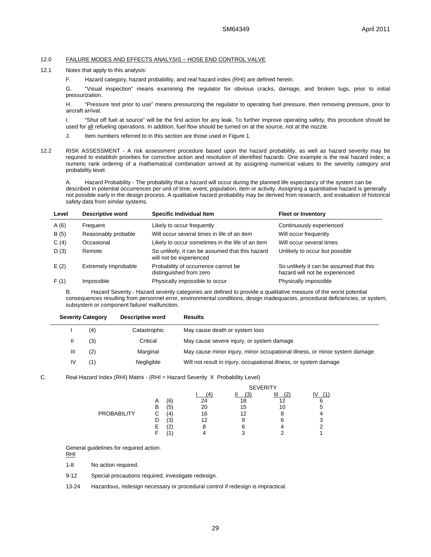#### 12.0 FAILURE MODES AND EFFECTS ANALYSIS – HOSE END CONTROL VALVE

12.1 Notes that apply to this analysis:

F. Hazard category, hazard probability, and real hazard index (RHI) are defined herein.

G. "Visual inspection" means examining the regulator for obvious cracks, damage, and broken lugs, prior to initial pressurization.

H. "Pressure test prior to use" means pressurizing the regulator to operating fuel pressure, then removing pressure, prior to aircraft arrival.

I. "Shut off fuel at source" will be the first action for any leak. To further improve operating safety, this procedure should be used for all refueling operations. In addition, fuel flow should be turned on at the source, not at the nozzle.

- J. Item numbers referred to in this section are those used in Figure 1.
- 12.2 RISK ASSESSMENT A risk assessment procedure based upon the hazard probability, as well as hazard severity may be required to establish priorities for corrective action and resolution of identified hazards. One example is the real hazard index; a numeric rank ordering of a mathematical combination arrived at by assigning numerical values to the severity category and probability level.

A. Hazard Probability - The probability that a hazard will occur during the planned life expectancy of the system can be described in potential occurrences per unit of time, event, population, item or activity. Assigning a quantitative hazard is generally not possible early in the design process. A qualitative hazard probability may be derived from research, and evaluation of historical safety data from similar systems.

| Level | <b>Descriptive word</b> | <b>Specific Individual Item</b>                                            | <b>Fleet or Inventory</b>                                                 |
|-------|-------------------------|----------------------------------------------------------------------------|---------------------------------------------------------------------------|
| A(6)  | Frequent                | Likely to occur frequently                                                 | Continuously experienced                                                  |
| B(5)  | Reasonably probable     | Will occur several times in life of an item                                | Will occur frequently                                                     |
| C(4)  | Occasional              | Likely to occur sometimes in the life of an item                           | Will occur several times                                                  |
| D(3)  | Remote                  | So unlikely, it can be assumed that this hazard<br>will not be experienced | Unlikely to occur but possible                                            |
| E(2)  | Extremely Improbable    | Probability of occurrence cannot be<br>distinguished from zero             | So unlikely it can be assumed that this<br>hazard will not be experienced |
| F(1)  | Impossible              | Physically impossible to occur                                             | Physically impossible                                                     |

B. Hazard Severity - Hazard severity categories are defined to provide a qualitative measure of the worst potential consequences resulting from personnel error, environmental conditions, design inadequacies, procedural deficiencies, or system, subsystem or component failure/ malfunction.

| <b>Severity Category</b> |     | Descriptive word | <b>Results</b>                                                             |  |  |  |  |
|--------------------------|-----|------------------|----------------------------------------------------------------------------|--|--|--|--|
|                          | (4) | Catastrophic     | May cause death or system loss                                             |  |  |  |  |
|                          | (3) | Critical         | May cause severe injury, or system damage                                  |  |  |  |  |
| Ш                        | (2) | Marginal         | May cause minor injury, minor occupational illness, or minor system damage |  |  |  |  |
| IV                       | '1) | Negligible       | Will not result in injury, occupational illness, or system damage          |  |  |  |  |

C. Real Hazard Index (RHI) Matrix - (RHI = Hazard Severity X Probability Level)

|                    |   |    |    | <b>SEVERITY</b> |                 |  |  |  |  |
|--------------------|---|----|----|-----------------|-----------------|--|--|--|--|
|                    |   |    |    | ΄3              | $\sqrt{2}$<br>- |  |  |  |  |
|                    | A | ί6 | 24 | 18              | 12              |  |  |  |  |
|                    | в | ί5 | 20 | 15              | 10              |  |  |  |  |
| <b>PROBABILITY</b> | ◡ | 4  | 16 | 12              |                 |  |  |  |  |
|                    |   | Έ3 | 12 | 9               |                 |  |  |  |  |
|                    | E | L  | 8  | 6               |                 |  |  |  |  |
|                    |   |    |    |                 |                 |  |  |  |  |

General guidelines for required action.

RHI

1-8 No action required.

9-12 Special precautions required, investigate redesign.

13-24 Hazardous, redesign necessary or procedural control if redesign is impractical.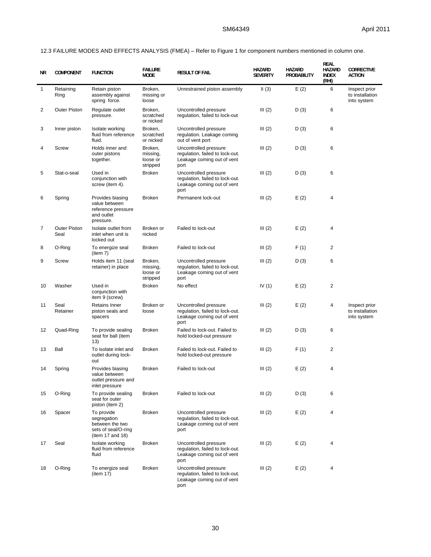12.3 FAILURE MODES AND EFFECTS ANALYSIS (FMEA) – Refer to Figure 1 for component numbers mentioned in column one.

| ΝR | <b>COMPONENT</b>            | <b>FUNCTION</b>                                                                         | <b>FAILURE</b><br><b>MODE</b>               | <b>RESULT OF FAIL</b>                                                                          | <b>HAZARD</b><br><b>SEVERITY</b> | <b>HAZARD</b><br>PROBABILITY | <b>REAL</b><br>HAZARD<br><b>INDEX</b><br>(RHI) | CORRECTIVE<br><b>ACTION</b>                     |
|----|-----------------------------|-----------------------------------------------------------------------------------------|---------------------------------------------|------------------------------------------------------------------------------------------------|----------------------------------|------------------------------|------------------------------------------------|-------------------------------------------------|
| 1  | Retaining<br>Ring           | Retain piston<br>assembly against<br>spring force.                                      | Broken,<br>missing or<br>loose              | Unrestrained piston assembly                                                                   | II(3)                            | E(2)                         | 6                                              | Inspect prior<br>to installation<br>into system |
| 2  | <b>Outer Piston</b>         | Regulate outlet<br>pressure.                                                            | Broken.<br>scratched<br>or nicked           | Uncontrolled pressure<br>regulation, failed to lock-out                                        | III(2)                           | D(3)                         | 6                                              |                                                 |
| 3  | Inner piston                | Isolate working<br>fluid from reference<br>fluid.                                       | Broken,<br>scratched<br>or nicked           | Uncontrolled pressure<br>regulation. Leakage coming<br>out of vent port                        | III(2)                           | D (3)                        | 6                                              |                                                 |
| 4  | Screw                       | Holds inner and<br>outer pistons<br>together.                                           | Broken,<br>missing,<br>loose or<br>stripped | Uncontrolled pressure<br>regulation, failed to lock-out.<br>Leakage coming out of vent<br>port | III(2)                           | D(3)                         | 6                                              |                                                 |
| 5  | Stat-o-seal                 | Used in<br>conjunction with<br>screw (item 4).                                          | <b>Broken</b>                               | Uncontrolled pressure<br>regulation, failed to lock-out.<br>Leakage coming out of vent<br>port | III(2)                           | D(3)                         | 6                                              |                                                 |
| 6  | Spring                      | Provides biasing<br>value between<br>reference pressure<br>and outlet<br>pressure.      | <b>Broken</b>                               | Permanent lock-out                                                                             | III(2)                           | E(2)                         | 4                                              |                                                 |
| 7  | <b>Outer Piston</b><br>Seal | Isolate outlet from<br>inlet when unit is<br>locked out                                 | Broken or<br>nicked                         | Failed to lock-out                                                                             | III(2)                           | E(2)                         | 4                                              |                                                 |
| 8  | O-Ring                      | To energize seal<br>item 7)                                                             | <b>Broken</b>                               | Failed to lock-out                                                                             | III(2)                           | F(1)                         | $\overline{2}$                                 |                                                 |
| 9  | Screw                       | Holds item 11 (seal<br>retainer) in place                                               | Broken,<br>missing,<br>loose or<br>stripped | Uncontrolled pressure<br>regulation, failed to lock-out.<br>Leakage coming out of vent<br>port | III(2)                           | D(3)                         | 6                                              |                                                 |
| 10 | Washer                      | Used in<br>conjunction with<br>item 9 (screw)                                           | <b>Broken</b>                               | No effect                                                                                      | IV $(1)$                         | E(2)                         | $\overline{2}$                                 |                                                 |
| 11 | Seal<br>Retainer            | Retains Inner<br>piston seals and<br>spacers                                            | Broken or<br>loose                          | Uncontrolled pressure<br>regulation, failed to lock-out.<br>Leakage coming out of vent<br>port | III(2)                           | E(2)                         | 4                                              | Inspect prior<br>to installation<br>into system |
| 12 | Quad-Ring                   | To provide sealing<br>seat for ball (item<br>(13)                                       | <b>Broken</b>                               | Failed to lock-out. Failed to<br>hold locked-out pressure                                      | III(2)                           | D (3)                        | 6                                              |                                                 |
| 13 | Ball                        | To isolate inlet and<br>outlet during lock-<br>out                                      | <b>Broken</b>                               | Failed to lock-out. Failed to<br>hold locked-out pressure                                      | III(2)                           | F(1)                         | $\overline{2}$                                 |                                                 |
| 14 | Spring                      | Provides biasing<br>value between<br>outlet pressure and<br>inlet pressure              | <b>Broken</b>                               | Failed to lock-out                                                                             | III(2)                           | E(2)                         | 4                                              |                                                 |
| 15 | O-Ring                      | To provide sealing<br>seat for outer<br>piston (item 2)                                 | <b>Broken</b>                               | Failed to lock-out                                                                             | III(2)                           | D(3)                         | 6                                              |                                                 |
| 16 | Spacer                      | To provide<br>segregation<br>between the two<br>sets of seal/O-ring<br>(item 17 and 18) | <b>Broken</b>                               | Uncontrolled pressure<br>regulation, failed to lock-out.<br>Leakage coming out of vent<br>port | III(2)                           | E(2)                         | 4                                              |                                                 |
| 17 | Seal                        | Isolate working<br>fluid from reference<br>fluid                                        | <b>Broken</b>                               | Uncontrolled pressure<br>regulation, failed to lock-out.<br>Leakage coming out of vent<br>port | III(2)                           | E(2)                         | 4                                              |                                                 |
| 18 | O-Ring                      | To energize seal<br>(item 17)                                                           | <b>Broken</b>                               | Uncontrolled pressure<br>regulation, failed to lock-out.<br>Leakage coming out of vent<br>port | III(2)                           | E(2)                         | 4                                              |                                                 |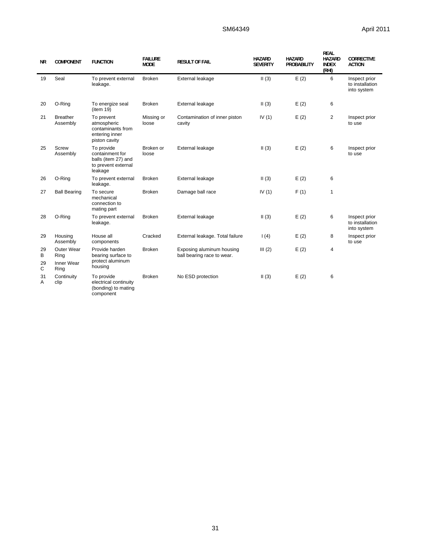# SM64349 April 2011

| <b>NR</b>          | <b>COMPONENT</b>                         | <b>FUNCTION</b>                                                                        | <b>FAILURE</b><br><b>MODE</b> | <b>RESULT OF FAIL</b>                                   | <b>HAZARD</b><br><b>SEVERITY</b> | <b>HAZARD</b><br><b>PROBABILITY</b> | <b>REAL</b><br><b>HAZARD</b><br><b>INDEX</b><br>(RHI) | <b>CORRECTIVE</b><br><b>ACTION</b>              |
|--------------------|------------------------------------------|----------------------------------------------------------------------------------------|-------------------------------|---------------------------------------------------------|----------------------------------|-------------------------------------|-------------------------------------------------------|-------------------------------------------------|
| 19                 | Seal                                     | To prevent external<br>leakage.                                                        | <b>Broken</b>                 | External leakage                                        | II(3)                            | E(2)                                | 6                                                     | Inspect prior<br>to installation<br>into system |
| 20                 | O-Ring                                   | To energize seal<br>(item 19)                                                          | <b>Broken</b>                 | External leakage                                        | II(3)                            | E(2)                                | 6                                                     |                                                 |
| 21                 | <b>Breather</b><br>Assembly              | To prevent<br>atmospheric<br>contaminants from<br>entering inner<br>piston cavity      | Missing or<br>loose           | Contamination of inner piston<br>cavity                 | IV $(1)$                         | E(2)                                | $\overline{2}$                                        | Inspect prior<br>to use                         |
| 25                 | Screw<br>Assembly                        | To provide<br>containment for<br>balls (item 27) and<br>to prevent external<br>leakage | Broken or<br>loose            | External leakage                                        | II(3)                            | E(2)                                | 6                                                     | Inspect prior<br>to use                         |
| 26                 | O-Ring                                   | To prevent external<br>leakage.                                                        | <b>Broken</b>                 | External leakage                                        | II(3)                            | E(2)                                | 6                                                     |                                                 |
| 27                 | <b>Ball Bearing</b>                      | To secure<br>mechanical<br>connection to<br>mating part                                | <b>Broken</b>                 | Damage ball race                                        | IV $(1)$                         | F(1)                                | $\mathbf{1}$                                          |                                                 |
| 28                 | O-Ring                                   | To prevent external<br>leakage.                                                        | <b>Broken</b>                 | External leakage                                        | II(3)                            | E(2)                                | 6                                                     | Inspect prior<br>to installation<br>into system |
| 29                 | Housing<br>Assembly                      | House all<br>components                                                                | Cracked                       | External leakage. Total failure                         | 1(4)                             | E(2)                                | 8                                                     | Inspect prior<br>to use                         |
| 29<br>В<br>29<br>C | Outer Wear<br>Ring<br>Inner Wear<br>Ring | Provide harden<br>bearing surface to<br>protect aluminum<br>housing                    | <b>Broken</b>                 | Exposing aluminum housing<br>ball bearing race to wear. | III(2)                           | E(2)                                | 4                                                     |                                                 |
| 31<br>Α            | Continuity<br>clip                       | To provide<br>electrical continuity<br>(bonding) to mating<br>component                | <b>Broken</b>                 | No ESD protection                                       | II(3)                            | E(2)                                | 6                                                     |                                                 |